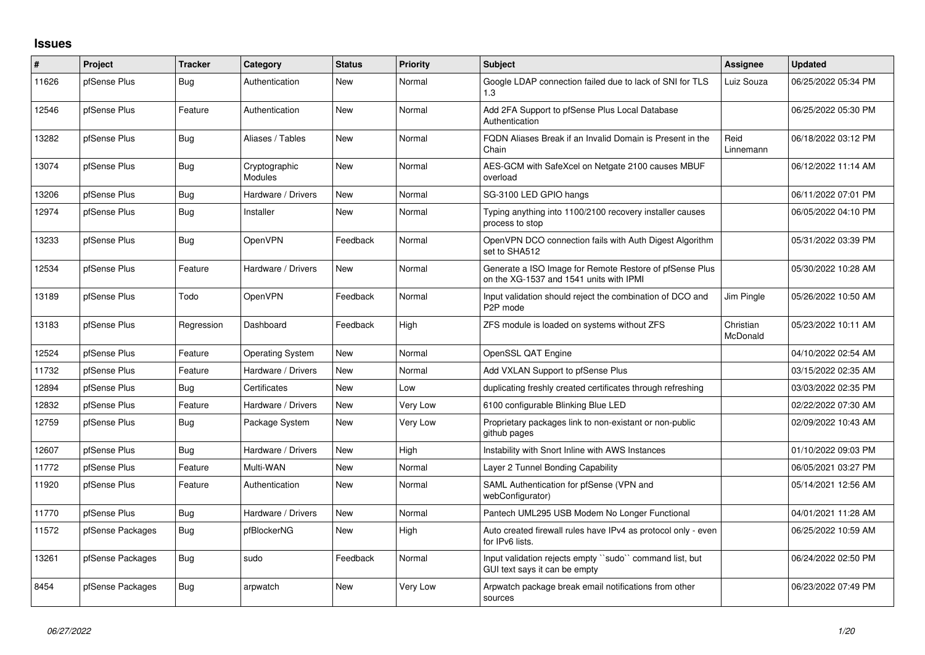## **Issues**

| #     | Project          | <b>Tracker</b> | Category                 | <b>Status</b> | <b>Priority</b> | <b>Subject</b>                                                                                     | Assignee              | <b>Updated</b>      |
|-------|------------------|----------------|--------------------------|---------------|-----------------|----------------------------------------------------------------------------------------------------|-----------------------|---------------------|
| 11626 | pfSense Plus     | Bug            | Authentication           | <b>New</b>    | Normal          | Google LDAP connection failed due to lack of SNI for TLS<br>1.3                                    | Luiz Souza            | 06/25/2022 05:34 PM |
| 12546 | pfSense Plus     | Feature        | Authentication           | <b>New</b>    | Normal          | Add 2FA Support to pfSense Plus Local Database<br>Authentication                                   |                       | 06/25/2022 05:30 PM |
| 13282 | pfSense Plus     | Bug            | Aliases / Tables         | <b>New</b>    | Normal          | FQDN Aliases Break if an Invalid Domain is Present in the<br>Chain                                 | Reid<br>Linnemann     | 06/18/2022 03:12 PM |
| 13074 | pfSense Plus     | Bug            | Cryptographic<br>Modules | <b>New</b>    | Normal          | AES-GCM with SafeXcel on Netgate 2100 causes MBUF<br>overload                                      |                       | 06/12/2022 11:14 AM |
| 13206 | pfSense Plus     | Bug            | Hardware / Drivers       | <b>New</b>    | Normal          | SG-3100 LED GPIO hangs                                                                             |                       | 06/11/2022 07:01 PM |
| 12974 | pfSense Plus     | Bug            | Installer                | <b>New</b>    | Normal          | Typing anything into 1100/2100 recovery installer causes<br>process to stop                        |                       | 06/05/2022 04:10 PM |
| 13233 | pfSense Plus     | Bug            | OpenVPN                  | Feedback      | Normal          | OpenVPN DCO connection fails with Auth Digest Algorithm<br>set to SHA512                           |                       | 05/31/2022 03:39 PM |
| 12534 | pfSense Plus     | Feature        | Hardware / Drivers       | <b>New</b>    | Normal          | Generate a ISO Image for Remote Restore of pfSense Plus<br>on the XG-1537 and 1541 units with IPMI |                       | 05/30/2022 10:28 AM |
| 13189 | pfSense Plus     | Todo           | OpenVPN                  | Feedback      | Normal          | Input validation should reject the combination of DCO and<br>P <sub>2</sub> P mode                 | Jim Pingle            | 05/26/2022 10:50 AM |
| 13183 | pfSense Plus     | Regression     | Dashboard                | Feedback      | High            | ZFS module is loaded on systems without ZFS                                                        | Christian<br>McDonald | 05/23/2022 10:11 AM |
| 12524 | pfSense Plus     | Feature        | <b>Operating System</b>  | New           | Normal          | OpenSSL QAT Engine                                                                                 |                       | 04/10/2022 02:54 AM |
| 11732 | pfSense Plus     | Feature        | Hardware / Drivers       | <b>New</b>    | Normal          | Add VXLAN Support to pfSense Plus                                                                  |                       | 03/15/2022 02:35 AM |
| 12894 | pfSense Plus     | Bug            | Certificates             | <b>New</b>    | Low             | duplicating freshly created certificates through refreshing                                        |                       | 03/03/2022 02:35 PM |
| 12832 | pfSense Plus     | Feature        | Hardware / Drivers       | <b>New</b>    | Very Low        | 6100 configurable Blinking Blue LED                                                                |                       | 02/22/2022 07:30 AM |
| 12759 | pfSense Plus     | Bug            | Package System           | <b>New</b>    | Very Low        | Proprietary packages link to non-existant or non-public<br>github pages                            |                       | 02/09/2022 10:43 AM |
| 12607 | pfSense Plus     | Bug            | Hardware / Drivers       | <b>New</b>    | High            | Instability with Snort Inline with AWS Instances                                                   |                       | 01/10/2022 09:03 PM |
| 11772 | pfSense Plus     | Feature        | Multi-WAN                | <b>New</b>    | Normal          | Layer 2 Tunnel Bonding Capability                                                                  |                       | 06/05/2021 03:27 PM |
| 11920 | pfSense Plus     | Feature        | Authentication           | <b>New</b>    | Normal          | SAML Authentication for pfSense (VPN and<br>webConfigurator)                                       |                       | 05/14/2021 12:56 AM |
| 11770 | pfSense Plus     | Bug            | Hardware / Drivers       | <b>New</b>    | Normal          | Pantech UML295 USB Modem No Longer Functional                                                      |                       | 04/01/2021 11:28 AM |
| 11572 | pfSense Packages | Bug            | pfBlockerNG              | <b>New</b>    | High            | Auto created firewall rules have IPv4 as protocol only - even<br>for IPv6 lists.                   |                       | 06/25/2022 10:59 AM |
| 13261 | pfSense Packages | Bug            | sudo                     | Feedback      | Normal          | Input validation rejects empty "sudo" command list, but<br>GUI text says it can be empty           |                       | 06/24/2022 02:50 PM |
| 8454  | pfSense Packages | Bug            | arpwatch                 | New           | Very Low        | Arpwatch package break email notifications from other<br>sources                                   |                       | 06/23/2022 07:49 PM |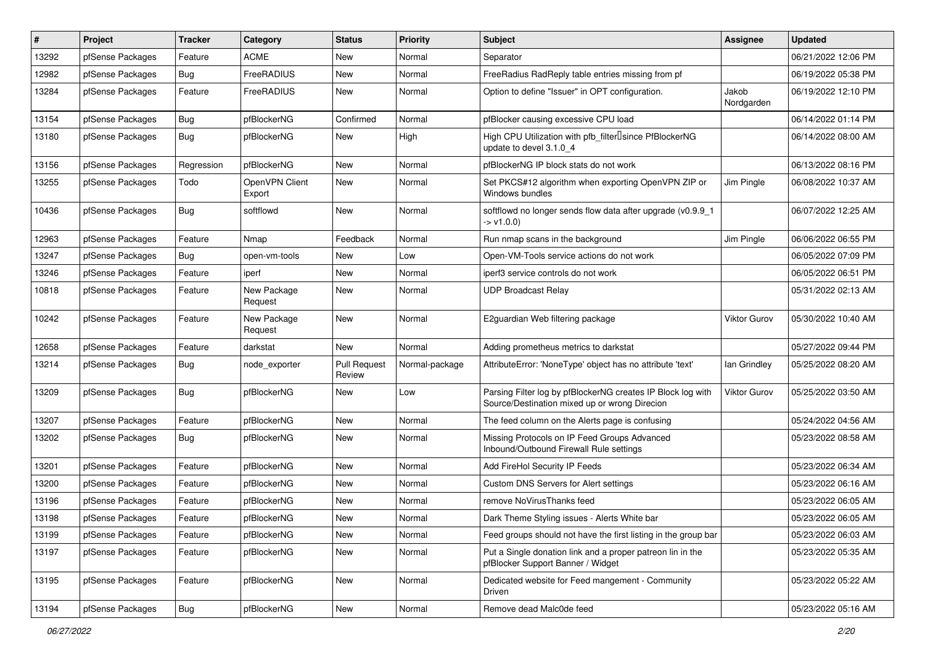| $\pmb{\#}$ | Project          | <b>Tracker</b> | Category                 | <b>Status</b>                 | <b>Priority</b> | <b>Subject</b>                                                                                               | Assignee            | <b>Updated</b>      |
|------------|------------------|----------------|--------------------------|-------------------------------|-----------------|--------------------------------------------------------------------------------------------------------------|---------------------|---------------------|
| 13292      | pfSense Packages | Feature        | <b>ACME</b>              | New                           | Normal          | Separator                                                                                                    |                     | 06/21/2022 12:06 PM |
| 12982      | pfSense Packages | <b>Bug</b>     | FreeRADIUS               | <b>New</b>                    | Normal          | FreeRadius RadReply table entries missing from pf                                                            |                     | 06/19/2022 05:38 PM |
| 13284      | pfSense Packages | Feature        | FreeRADIUS               | New                           | Normal          | Option to define "Issuer" in OPT configuration.                                                              | Jakob<br>Nordgarden | 06/19/2022 12:10 PM |
| 13154      | pfSense Packages | Bug            | pfBlockerNG              | Confirmed                     | Normal          | pfBlocker causing excessive CPU load                                                                         |                     | 06/14/2022 01:14 PM |
| 13180      | pfSense Packages | Bug            | pfBlockerNG              | New                           | High            | High CPU Utilization with pfb_filter <sup>[]</sup> since PfBlockerNG<br>update to devel 3.1.0 4              |                     | 06/14/2022 08:00 AM |
| 13156      | pfSense Packages | Regression     | pfBlockerNG              | <b>New</b>                    | Normal          | pfBlockerNG IP block stats do not work                                                                       |                     | 06/13/2022 08:16 PM |
| 13255      | pfSense Packages | Todo           | OpenVPN Client<br>Export | <b>New</b>                    | Normal          | Set PKCS#12 algorithm when exporting OpenVPN ZIP or<br>Windows bundles                                       | Jim Pingle          | 06/08/2022 10:37 AM |
| 10436      | pfSense Packages | Bug            | softflowd                | New                           | Normal          | softflowd no longer sends flow data after upgrade (v0.9.9_1<br>-> v1.0.0)                                    |                     | 06/07/2022 12:25 AM |
| 12963      | pfSense Packages | Feature        | Nmap                     | Feedback                      | Normal          | Run nmap scans in the background                                                                             | Jim Pingle          | 06/06/2022 06:55 PM |
| 13247      | pfSense Packages | Bug            | open-vm-tools            | New                           | Low             | Open-VM-Tools service actions do not work                                                                    |                     | 06/05/2022 07:09 PM |
| 13246      | pfSense Packages | Feature        | iperf                    | <b>New</b>                    | Normal          | iperf3 service controls do not work                                                                          |                     | 06/05/2022 06:51 PM |
| 10818      | pfSense Packages | Feature        | New Package<br>Request   | <b>New</b>                    | Normal          | <b>UDP Broadcast Relay</b>                                                                                   |                     | 05/31/2022 02:13 AM |
| 10242      | pfSense Packages | Feature        | New Package<br>Request   | New                           | Normal          | E2quardian Web filtering package                                                                             | Viktor Gurov        | 05/30/2022 10:40 AM |
| 12658      | pfSense Packages | Feature        | darkstat                 | <b>New</b>                    | Normal          | Adding prometheus metrics to darkstat                                                                        |                     | 05/27/2022 09:44 PM |
| 13214      | pfSense Packages | <b>Bug</b>     | node exporter            | <b>Pull Request</b><br>Review | Normal-package  | AttributeError: 'NoneType' object has no attribute 'text'                                                    | lan Grindley        | 05/25/2022 08:20 AM |
| 13209      | pfSense Packages | <b>Bug</b>     | pfBlockerNG              | <b>New</b>                    | Low             | Parsing Filter log by pfBlockerNG creates IP Block log with<br>Source/Destination mixed up or wrong Direcion | <b>Viktor Gurov</b> | 05/25/2022 03:50 AM |
| 13207      | pfSense Packages | Feature        | pfBlockerNG              | New                           | Normal          | The feed column on the Alerts page is confusing                                                              |                     | 05/24/2022 04:56 AM |
| 13202      | pfSense Packages | Bug            | pfBlockerNG              | New                           | Normal          | Missing Protocols on IP Feed Groups Advanced<br>Inbound/Outbound Firewall Rule settings                      |                     | 05/23/2022 08:58 AM |
| 13201      | pfSense Packages | Feature        | pfBlockerNG              | <b>New</b>                    | Normal          | Add FireHol Security IP Feeds                                                                                |                     | 05/23/2022 06:34 AM |
| 13200      | pfSense Packages | Feature        | pfBlockerNG              | <b>New</b>                    | Normal          | Custom DNS Servers for Alert settings                                                                        |                     | 05/23/2022 06:16 AM |
| 13196      | pfSense Packages | Feature        | pfBlockerNG              | New                           | Normal          | remove NoVirusThanks feed                                                                                    |                     | 05/23/2022 06:05 AM |
| 13198      | pfSense Packages | Feature        | pfBlockerNG              | <b>New</b>                    | Normal          | Dark Theme Styling issues - Alerts White bar                                                                 |                     | 05/23/2022 06:05 AM |
| 13199      | pfSense Packages | Feature        | pfBlockerNG              | New                           | Normal          | Feed groups should not have the first listing in the group bar                                               |                     | 05/23/2022 06:03 AM |
| 13197      | pfSense Packages | Feature        | pfBlockerNG              | New                           | Normal          | Put a Single donation link and a proper patreon lin in the<br>pfBlocker Support Banner / Widget              |                     | 05/23/2022 05:35 AM |
| 13195      | pfSense Packages | Feature        | pfBlockerNG              | New                           | Normal          | Dedicated website for Feed mangement - Community<br>Driven                                                   |                     | 05/23/2022 05:22 AM |
| 13194      | pfSense Packages | Bug            | pfBlockerNG              | New                           | Normal          | Remove dead Malc0de feed                                                                                     |                     | 05/23/2022 05:16 AM |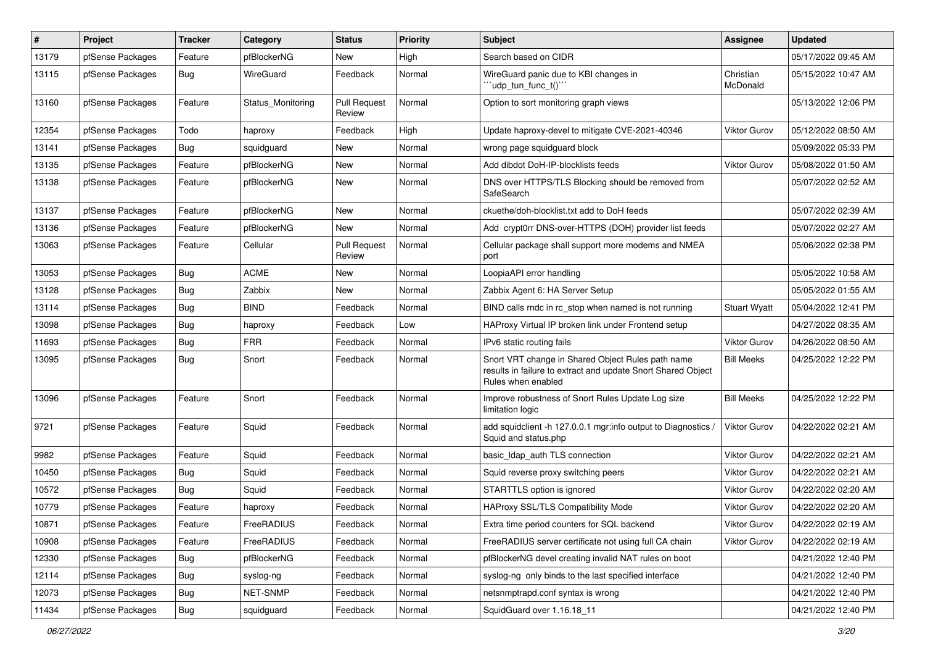| $\pmb{\#}$ | Project          | <b>Tracker</b> | Category          | <b>Status</b>                 | <b>Priority</b> | Subject                                                                                                                                 | <b>Assignee</b>       | <b>Updated</b>      |
|------------|------------------|----------------|-------------------|-------------------------------|-----------------|-----------------------------------------------------------------------------------------------------------------------------------------|-----------------------|---------------------|
| 13179      | pfSense Packages | Feature        | pfBlockerNG       | New                           | High            | Search based on CIDR                                                                                                                    |                       | 05/17/2022 09:45 AM |
| 13115      | pfSense Packages | Bug            | WireGuard         | Feedback                      | Normal          | WireGuard panic due to KBI changes in<br>'udp_tun_func_t()'"                                                                            | Christian<br>McDonald | 05/15/2022 10:47 AM |
| 13160      | pfSense Packages | Feature        | Status Monitoring | <b>Pull Request</b><br>Review | Normal          | Option to sort monitoring graph views                                                                                                   |                       | 05/13/2022 12:06 PM |
| 12354      | pfSense Packages | Todo           | haproxy           | Feedback                      | High            | Update haproxy-devel to mitigate CVE-2021-40346                                                                                         | <b>Viktor Gurov</b>   | 05/12/2022 08:50 AM |
| 13141      | pfSense Packages | <b>Bug</b>     | squidguard        | New                           | Normal          | wrong page squidguard block                                                                                                             |                       | 05/09/2022 05:33 PM |
| 13135      | pfSense Packages | Feature        | pfBlockerNG       | New                           | Normal          | Add dibdot DoH-IP-blocklists feeds                                                                                                      | Viktor Gurov          | 05/08/2022 01:50 AM |
| 13138      | pfSense Packages | Feature        | pfBlockerNG       | New                           | Normal          | DNS over HTTPS/TLS Blocking should be removed from<br>SafeSearch                                                                        |                       | 05/07/2022 02:52 AM |
| 13137      | pfSense Packages | Feature        | pfBlockerNG       | New                           | Normal          | ckuethe/doh-blocklist.txt add to DoH feeds                                                                                              |                       | 05/07/2022 02:39 AM |
| 13136      | pfSense Packages | Feature        | pfBlockerNG       | New                           | Normal          | Add crypt0rr DNS-over-HTTPS (DOH) provider list feeds                                                                                   |                       | 05/07/2022 02:27 AM |
| 13063      | pfSense Packages | Feature        | Cellular          | <b>Pull Request</b><br>Review | Normal          | Cellular package shall support more modems and NMEA<br>port                                                                             |                       | 05/06/2022 02:38 PM |
| 13053      | pfSense Packages | Bug            | <b>ACME</b>       | New                           | Normal          | LoopiaAPI error handling                                                                                                                |                       | 05/05/2022 10:58 AM |
| 13128      | pfSense Packages | <b>Bug</b>     | Zabbix            | New                           | Normal          | Zabbix Agent 6: HA Server Setup                                                                                                         |                       | 05/05/2022 01:55 AM |
| 13114      | pfSense Packages | <b>Bug</b>     | <b>BIND</b>       | Feedback                      | Normal          | BIND calls rndc in rc stop when named is not running                                                                                    | <b>Stuart Wyatt</b>   | 05/04/2022 12:41 PM |
| 13098      | pfSense Packages | <b>Bug</b>     | haproxy           | Feedback                      | Low             | HAProxy Virtual IP broken link under Frontend setup                                                                                     |                       | 04/27/2022 08:35 AM |
| 11693      | pfSense Packages | Bug            | <b>FRR</b>        | Feedback                      | Normal          | IPv6 static routing fails                                                                                                               | <b>Viktor Gurov</b>   | 04/26/2022 08:50 AM |
| 13095      | pfSense Packages | Bug            | Snort             | Feedback                      | Normal          | Snort VRT change in Shared Object Rules path name<br>results in failure to extract and update Snort Shared Object<br>Rules when enabled | <b>Bill Meeks</b>     | 04/25/2022 12:22 PM |
| 13096      | pfSense Packages | Feature        | Snort             | Feedback                      | Normal          | Improve robustness of Snort Rules Update Log size<br>limitation logic                                                                   | <b>Bill Meeks</b>     | 04/25/2022 12:22 PM |
| 9721       | pfSense Packages | Feature        | Squid             | Feedback                      | Normal          | add squidclient -h 127.0.0.1 mgr:info output to Diagnostics /<br>Squid and status.php                                                   | <b>Viktor Gurov</b>   | 04/22/2022 02:21 AM |
| 9982       | pfSense Packages | Feature        | Squid             | Feedback                      | Normal          | basic_Idap_auth TLS connection                                                                                                          | <b>Viktor Gurov</b>   | 04/22/2022 02:21 AM |
| 10450      | pfSense Packages | Bug            | Squid             | Feedback                      | Normal          | Squid reverse proxy switching peers                                                                                                     | Viktor Gurov          | 04/22/2022 02:21 AM |
| 10572      | pfSense Packages | Bug            | Squid             | Feedback                      | Normal          | STARTTLS option is ignored                                                                                                              | <b>Viktor Gurov</b>   | 04/22/2022 02:20 AM |
| 10779      | pfSense Packages | Feature        | haproxy           | Feedback                      | Normal          | HAProxy SSL/TLS Compatibility Mode                                                                                                      | <b>Viktor Gurov</b>   | 04/22/2022 02:20 AM |
| 10871      | pfSense Packages | Feature        | FreeRADIUS        | Feedback                      | Normal          | Extra time period counters for SQL backend                                                                                              | Viktor Gurov          | 04/22/2022 02:19 AM |
| 10908      | pfSense Packages | Feature        | FreeRADIUS        | Feedback                      | Normal          | FreeRADIUS server certificate not using full CA chain                                                                                   | Viktor Gurov          | 04/22/2022 02:19 AM |
| 12330      | pfSense Packages | <b>Bug</b>     | pfBlockerNG       | Feedback                      | Normal          | pfBlockerNG devel creating invalid NAT rules on boot                                                                                    |                       | 04/21/2022 12:40 PM |
| 12114      | pfSense Packages | Bug            | syslog-ng         | Feedback                      | Normal          | syslog-ng only binds to the last specified interface                                                                                    |                       | 04/21/2022 12:40 PM |
| 12073      | pfSense Packages | Bug            | NET-SNMP          | Feedback                      | Normal          | netsnmptrapd.conf syntax is wrong                                                                                                       |                       | 04/21/2022 12:40 PM |
| 11434      | pfSense Packages | Bug            | squidguard        | Feedback                      | Normal          | SquidGuard over 1.16.18_11                                                                                                              |                       | 04/21/2022 12:40 PM |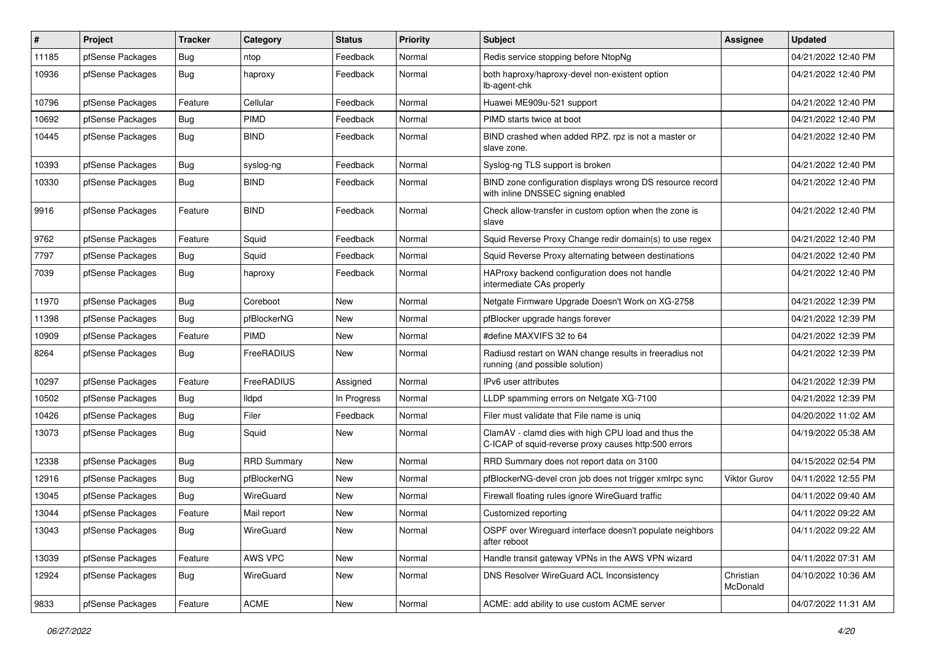| #     | Project          | Tracker    | Category           | <b>Status</b> | <b>Priority</b> | Subject                                                                                                     | Assignee              | <b>Updated</b>      |
|-------|------------------|------------|--------------------|---------------|-----------------|-------------------------------------------------------------------------------------------------------------|-----------------------|---------------------|
| 11185 | pfSense Packages | <b>Bug</b> | ntop               | Feedback      | Normal          | Redis service stopping before NtopNg                                                                        |                       | 04/21/2022 12:40 PM |
| 10936 | pfSense Packages | <b>Bug</b> | haproxy            | Feedback      | Normal          | both haproxy/haproxy-devel non-existent option<br>lb-agent-chk                                              |                       | 04/21/2022 12:40 PM |
| 10796 | pfSense Packages | Feature    | Cellular           | Feedback      | Normal          | Huawei ME909u-521 support                                                                                   |                       | 04/21/2022 12:40 PM |
| 10692 | pfSense Packages | <b>Bug</b> | PIMD               | Feedback      | Normal          | PIMD starts twice at boot                                                                                   |                       | 04/21/2022 12:40 PM |
| 10445 | pfSense Packages | Bug        | <b>BIND</b>        | Feedback      | Normal          | BIND crashed when added RPZ. rpz is not a master or<br>slave zone.                                          |                       | 04/21/2022 12:40 PM |
| 10393 | pfSense Packages | <b>Bug</b> | syslog-ng          | Feedback      | Normal          | Syslog-ng TLS support is broken                                                                             |                       | 04/21/2022 12:40 PM |
| 10330 | pfSense Packages | <b>Bug</b> | <b>BIND</b>        | Feedback      | Normal          | BIND zone configuration displays wrong DS resource record<br>with inline DNSSEC signing enabled             |                       | 04/21/2022 12:40 PM |
| 9916  | pfSense Packages | Feature    | <b>BIND</b>        | Feedback      | Normal          | Check allow-transfer in custom option when the zone is<br><b>Slave</b>                                      |                       | 04/21/2022 12:40 PM |
| 9762  | pfSense Packages | Feature    | Squid              | Feedback      | Normal          | Squid Reverse Proxy Change redir domain(s) to use regex                                                     |                       | 04/21/2022 12:40 PM |
| 7797  | pfSense Packages | <b>Bug</b> | Squid              | Feedback      | Normal          | Squid Reverse Proxy alternating between destinations                                                        |                       | 04/21/2022 12:40 PM |
| 7039  | pfSense Packages | Bug        | haproxy            | Feedback      | Normal          | HAProxy backend configuration does not handle<br>intermediate CAs properly                                  |                       | 04/21/2022 12:40 PM |
| 11970 | pfSense Packages | <b>Bug</b> | Coreboot           | <b>New</b>    | Normal          | Netgate Firmware Upgrade Doesn't Work on XG-2758                                                            |                       | 04/21/2022 12:39 PM |
| 11398 | pfSense Packages | Bug        | pfBlockerNG        | <b>New</b>    | Normal          | pfBlocker upgrade hangs forever                                                                             |                       | 04/21/2022 12:39 PM |
| 10909 | pfSense Packages | Feature    | <b>PIMD</b>        | New           | Normal          | #define MAXVIFS 32 to 64                                                                                    |                       | 04/21/2022 12:39 PM |
| 8264  | pfSense Packages | Bug        | FreeRADIUS         | New           | Normal          | Radiusd restart on WAN change results in freeradius not<br>running (and possible solution)                  |                       | 04/21/2022 12:39 PM |
| 10297 | pfSense Packages | Feature    | FreeRADIUS         | Assigned      | Normal          | IPv6 user attributes                                                                                        |                       | 04/21/2022 12:39 PM |
| 10502 | pfSense Packages | Bug        | lldpd              | In Progress   | Normal          | LLDP spamming errors on Netgate XG-7100                                                                     |                       | 04/21/2022 12:39 PM |
| 10426 | pfSense Packages | Bug        | Filer              | Feedback      | Normal          | Filer must validate that File name is unig                                                                  |                       | 04/20/2022 11:02 AM |
| 13073 | pfSense Packages | Bug        | Squid              | New           | Normal          | ClamAV - clamd dies with high CPU load and thus the<br>C-ICAP of squid-reverse proxy causes http:500 errors |                       | 04/19/2022 05:38 AM |
| 12338 | pfSense Packages | Bug        | <b>RRD Summary</b> | New           | Normal          | RRD Summary does not report data on 3100                                                                    |                       | 04/15/2022 02:54 PM |
| 12916 | pfSense Packages | <b>Bug</b> | pfBlockerNG        | <b>New</b>    | Normal          | pfBlockerNG-devel cron job does not trigger xmlrpc sync                                                     | <b>Viktor Gurov</b>   | 04/11/2022 12:55 PM |
| 13045 | pfSense Packages | <b>Bug</b> | WireGuard          | <b>New</b>    | Normal          | Firewall floating rules ignore WireGuard traffic                                                            |                       | 04/11/2022 09:40 AM |
| 13044 | pfSense Packages | Feature    | Mail report        | New           | Normal          | Customized reporting                                                                                        |                       | 04/11/2022 09:22 AM |
| 13043 | pfSense Packages | <b>Bug</b> | WireGuard          | New           | Normal          | OSPF over Wireguard interface doesn't populate neighbors<br>after reboot                                    |                       | 04/11/2022 09:22 AM |
| 13039 | pfSense Packages | Feature    | AWS VPC            | New           | Normal          | Handle transit gateway VPNs in the AWS VPN wizard                                                           |                       | 04/11/2022 07:31 AM |
| 12924 | pfSense Packages | Bug        | WireGuard          | New           | Normal          | DNS Resolver WireGuard ACL Inconsistency                                                                    | Christian<br>McDonald | 04/10/2022 10:36 AM |
| 9833  | pfSense Packages | Feature    | ACME               | New           | Normal          | ACME: add ability to use custom ACME server                                                                 |                       | 04/07/2022 11:31 AM |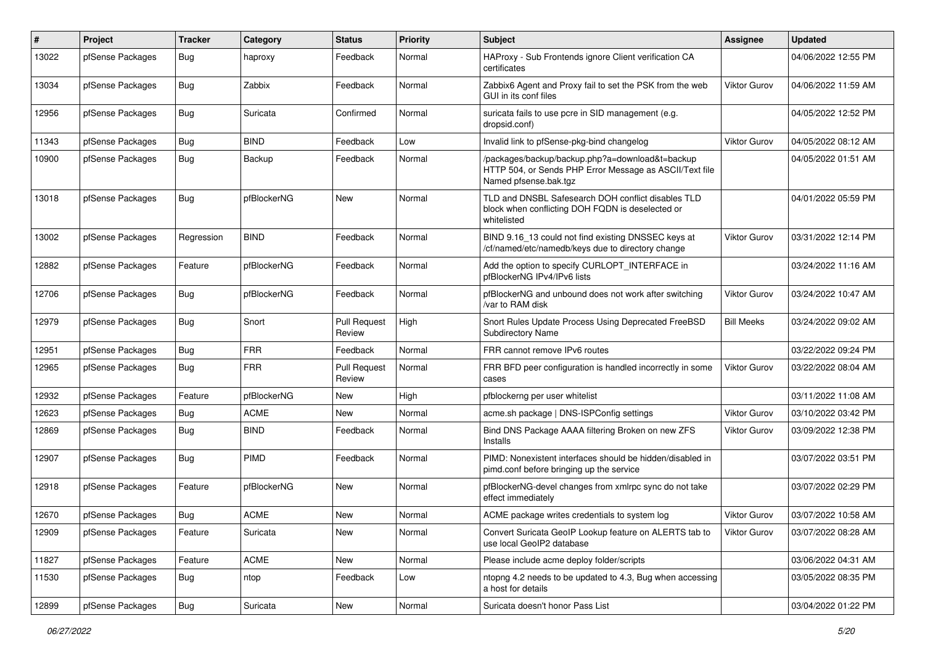| #     | Project          | Tracker    | Category    | <b>Status</b>                 | <b>Priority</b> | <b>Subject</b>                                                                                                                      | <b>Assignee</b>     | <b>Updated</b>      |
|-------|------------------|------------|-------------|-------------------------------|-----------------|-------------------------------------------------------------------------------------------------------------------------------------|---------------------|---------------------|
| 13022 | pfSense Packages | <b>Bug</b> | haproxy     | Feedback                      | Normal          | HAProxy - Sub Frontends ignore Client verification CA<br>certificates                                                               |                     | 04/06/2022 12:55 PM |
| 13034 | pfSense Packages | Bug        | Zabbix      | Feedback                      | Normal          | Zabbix6 Agent and Proxy fail to set the PSK from the web<br>GUI in its conf files                                                   | Viktor Gurov        | 04/06/2022 11:59 AM |
| 12956 | pfSense Packages | <b>Bug</b> | Suricata    | Confirmed                     | Normal          | suricata fails to use pcre in SID management (e.g.<br>dropsid.conf)                                                                 |                     | 04/05/2022 12:52 PM |
| 11343 | pfSense Packages | Bug        | <b>BIND</b> | Feedback                      | Low             | Invalid link to pfSense-pkg-bind changelog                                                                                          | <b>Viktor Gurov</b> | 04/05/2022 08:12 AM |
| 10900 | pfSense Packages | Bug        | Backup      | Feedback                      | Normal          | /packages/backup/backup.php?a=download&t=backup<br>HTTP 504, or Sends PHP Error Message as ASCII/Text file<br>Named pfsense.bak.tgz |                     | 04/05/2022 01:51 AM |
| 13018 | pfSense Packages | <b>Bug</b> | pfBlockerNG | <b>New</b>                    | Normal          | TLD and DNSBL Safesearch DOH conflict disables TLD<br>block when conflicting DOH FQDN is deselected or<br>whitelisted               |                     | 04/01/2022 05:59 PM |
| 13002 | pfSense Packages | Regression | <b>BIND</b> | Feedback                      | Normal          | BIND 9.16_13 could not find existing DNSSEC keys at<br>/cf/named/etc/namedb/keys due to directory change                            | <b>Viktor Gurov</b> | 03/31/2022 12:14 PM |
| 12882 | pfSense Packages | Feature    | pfBlockerNG | Feedback                      | Normal          | Add the option to specify CURLOPT_INTERFACE in<br>pfBlockerNG IPv4/IPv6 lists                                                       |                     | 03/24/2022 11:16 AM |
| 12706 | pfSense Packages | <b>Bug</b> | pfBlockerNG | Feedback                      | Normal          | pfBlockerNG and unbound does not work after switching<br>/var to RAM disk                                                           | <b>Viktor Gurov</b> | 03/24/2022 10:47 AM |
| 12979 | pfSense Packages | <b>Bug</b> | Snort       | <b>Pull Request</b><br>Review | High            | Snort Rules Update Process Using Deprecated FreeBSD<br>Subdirectory Name                                                            | <b>Bill Meeks</b>   | 03/24/2022 09:02 AM |
| 12951 | pfSense Packages | Bug        | <b>FRR</b>  | Feedback                      | Normal          | FRR cannot remove IPv6 routes                                                                                                       |                     | 03/22/2022 09:24 PM |
| 12965 | pfSense Packages | Bug        | <b>FRR</b>  | <b>Pull Request</b><br>Review | Normal          | FRR BFD peer configuration is handled incorrectly in some<br>cases                                                                  | <b>Viktor Gurov</b> | 03/22/2022 08:04 AM |
| 12932 | pfSense Packages | Feature    | pfBlockerNG | New                           | High            | pfblockerng per user whitelist                                                                                                      |                     | 03/11/2022 11:08 AM |
| 12623 | pfSense Packages | Bug        | <b>ACME</b> | New                           | Normal          | acme.sh package   DNS-ISPConfig settings                                                                                            | <b>Viktor Gurov</b> | 03/10/2022 03:42 PM |
| 12869 | pfSense Packages | Bug        | <b>BIND</b> | Feedback                      | Normal          | Bind DNS Package AAAA filtering Broken on new ZFS<br>Installs                                                                       | Viktor Gurov        | 03/09/2022 12:38 PM |
| 12907 | pfSense Packages | <b>Bug</b> | PIMD        | Feedback                      | Normal          | PIMD: Nonexistent interfaces should be hidden/disabled in<br>pimd.conf before bringing up the service                               |                     | 03/07/2022 03:51 PM |
| 12918 | pfSense Packages | Feature    | pfBlockerNG | New                           | Normal          | pfBlockerNG-devel changes from xmlrpc sync do not take<br>effect immediately                                                        |                     | 03/07/2022 02:29 PM |
| 12670 | pfSense Packages | Bug        | <b>ACME</b> | New                           | Normal          | ACME package writes credentials to system log                                                                                       | <b>Viktor Gurov</b> | 03/07/2022 10:58 AM |
| 12909 | pfSense Packages | Feature    | Suricata    | New                           | Normal          | Convert Suricata GeoIP Lookup feature on ALERTS tab to<br>use local GeoIP2 database                                                 | Viktor Gurov        | 03/07/2022 08:28 AM |
| 11827 | pfSense Packages | Feature    | ACME        | New                           | Normal          | Please include acme deploy folder/scripts                                                                                           |                     | 03/06/2022 04:31 AM |
| 11530 | pfSense Packages | Bug        | ntop        | Feedback                      | Low             | ntopng 4.2 needs to be updated to 4.3, Bug when accessing<br>a host for details                                                     |                     | 03/05/2022 08:35 PM |
| 12899 | pfSense Packages | <b>Bug</b> | Suricata    | New                           | Normal          | Suricata doesn't honor Pass List                                                                                                    |                     | 03/04/2022 01:22 PM |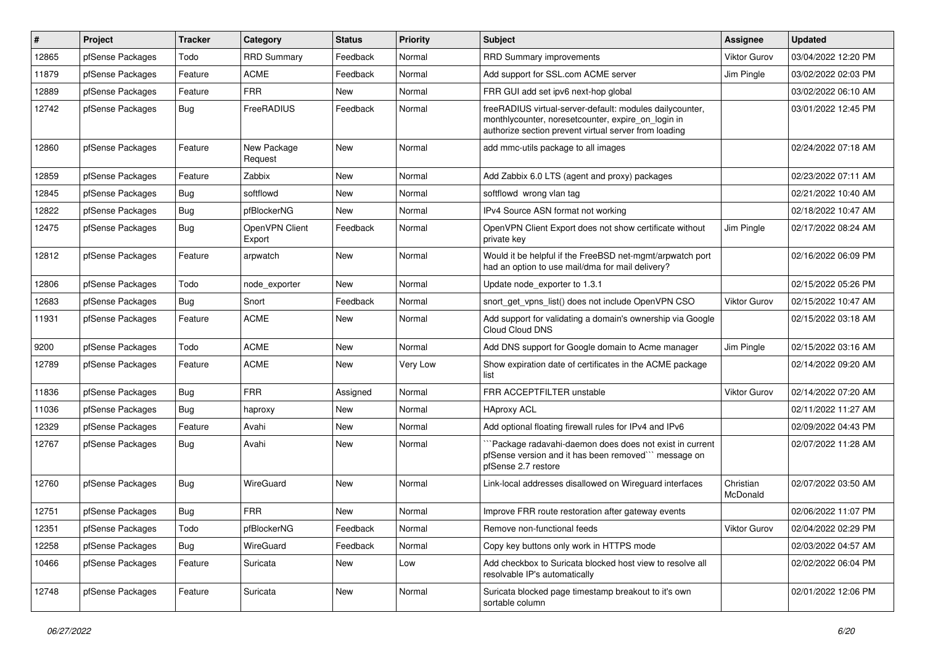| $\pmb{\#}$ | Project          | <b>Tracker</b> | Category                 | <b>Status</b> | <b>Priority</b> | Subject                                                                                                                                                                 | <b>Assignee</b>       | <b>Updated</b>      |
|------------|------------------|----------------|--------------------------|---------------|-----------------|-------------------------------------------------------------------------------------------------------------------------------------------------------------------------|-----------------------|---------------------|
| 12865      | pfSense Packages | Todo           | <b>RRD Summary</b>       | Feedback      | Normal          | RRD Summary improvements                                                                                                                                                | <b>Viktor Gurov</b>   | 03/04/2022 12:20 PM |
| 11879      | pfSense Packages | Feature        | <b>ACME</b>              | Feedback      | Normal          | Add support for SSL.com ACME server                                                                                                                                     | Jim Pingle            | 03/02/2022 02:03 PM |
| 12889      | pfSense Packages | Feature        | <b>FRR</b>               | New           | Normal          | FRR GUI add set ipv6 next-hop global                                                                                                                                    |                       | 03/02/2022 06:10 AM |
| 12742      | pfSense Packages | Bug            | FreeRADIUS               | Feedback      | Normal          | freeRADIUS virtual-server-default: modules dailycounter,<br>monthlycounter, noresetcounter, expire on login in<br>authorize section prevent virtual server from loading |                       | 03/01/2022 12:45 PM |
| 12860      | pfSense Packages | Feature        | New Package<br>Request   | <b>New</b>    | Normal          | add mmc-utils package to all images                                                                                                                                     |                       | 02/24/2022 07:18 AM |
| 12859      | pfSense Packages | Feature        | Zabbix                   | <b>New</b>    | Normal          | Add Zabbix 6.0 LTS (agent and proxy) packages                                                                                                                           |                       | 02/23/2022 07:11 AM |
| 12845      | pfSense Packages | Bug            | softflowd                | New           | Normal          | softflowd wrong vlan tag                                                                                                                                                |                       | 02/21/2022 10:40 AM |
| 12822      | pfSense Packages | Bug            | pfBlockerNG              | New           | Normal          | IPv4 Source ASN format not working                                                                                                                                      |                       | 02/18/2022 10:47 AM |
| 12475      | pfSense Packages | <b>Bug</b>     | OpenVPN Client<br>Export | Feedback      | Normal          | OpenVPN Client Export does not show certificate without<br>private key                                                                                                  | Jim Pingle            | 02/17/2022 08:24 AM |
| 12812      | pfSense Packages | Feature        | arpwatch                 | <b>New</b>    | Normal          | Would it be helpful if the FreeBSD net-mgmt/arpwatch port<br>had an option to use mail/dma for mail delivery?                                                           |                       | 02/16/2022 06:09 PM |
| 12806      | pfSense Packages | Todo           | node exporter            | <b>New</b>    | Normal          | Update node exporter to 1.3.1                                                                                                                                           |                       | 02/15/2022 05:26 PM |
| 12683      | pfSense Packages | Bug            | Snort                    | Feedback      | Normal          | snort get vpns list() does not include OpenVPN CSO                                                                                                                      | <b>Viktor Gurov</b>   | 02/15/2022 10:47 AM |
| 11931      | pfSense Packages | Feature        | <b>ACME</b>              | New           | Normal          | Add support for validating a domain's ownership via Google<br><b>Cloud Cloud DNS</b>                                                                                    |                       | 02/15/2022 03:18 AM |
| 9200       | pfSense Packages | Todo           | <b>ACME</b>              | New           | Normal          | Add DNS support for Google domain to Acme manager                                                                                                                       | Jim Pingle            | 02/15/2022 03:16 AM |
| 12789      | pfSense Packages | Feature        | <b>ACME</b>              | <b>New</b>    | Very Low        | Show expiration date of certificates in the ACME package<br>list                                                                                                        |                       | 02/14/2022 09:20 AM |
| 11836      | pfSense Packages | Bug            | <b>FRR</b>               | Assigned      | Normal          | FRR ACCEPTFILTER unstable                                                                                                                                               | <b>Viktor Gurov</b>   | 02/14/2022 07:20 AM |
| 11036      | pfSense Packages | Bug            | haproxy                  | New           | Normal          | <b>HAproxy ACL</b>                                                                                                                                                      |                       | 02/11/2022 11:27 AM |
| 12329      | pfSense Packages | Feature        | Avahi                    | New           | Normal          | Add optional floating firewall rules for IPv4 and IPv6                                                                                                                  |                       | 02/09/2022 04:43 PM |
| 12767      | pfSense Packages | Bug            | Avahi                    | New           | Normal          | `Package radavahi-daemon does does not exist in current<br>pfSense version and it has been removed" message on<br>pfSense 2.7 restore                                   |                       | 02/07/2022 11:28 AM |
| 12760      | pfSense Packages | Bug            | WireGuard                | <b>New</b>    | Normal          | Link-local addresses disallowed on Wireguard interfaces                                                                                                                 | Christian<br>McDonald | 02/07/2022 03:50 AM |
| 12751      | pfSense Packages | Bug            | <b>FRR</b>               | New           | Normal          | Improve FRR route restoration after gateway events                                                                                                                      |                       | 02/06/2022 11:07 PM |
| 12351      | pfSense Packages | Todo           | pfBlockerNG              | Feedback      | Normal          | Remove non-functional feeds                                                                                                                                             | <b>Viktor Gurov</b>   | 02/04/2022 02:29 PM |
| 12258      | pfSense Packages | Bug            | WireGuard                | Feedback      | Normal          | Copy key buttons only work in HTTPS mode                                                                                                                                |                       | 02/03/2022 04:57 AM |
| 10466      | pfSense Packages | Feature        | Suricata                 | New           | Low             | Add checkbox to Suricata blocked host view to resolve all<br>resolvable IP's automatically                                                                              |                       | 02/02/2022 06:04 PM |
| 12748      | pfSense Packages | Feature        | Suricata                 | New           | Normal          | Suricata blocked page timestamp breakout to it's own<br>sortable column                                                                                                 |                       | 02/01/2022 12:06 PM |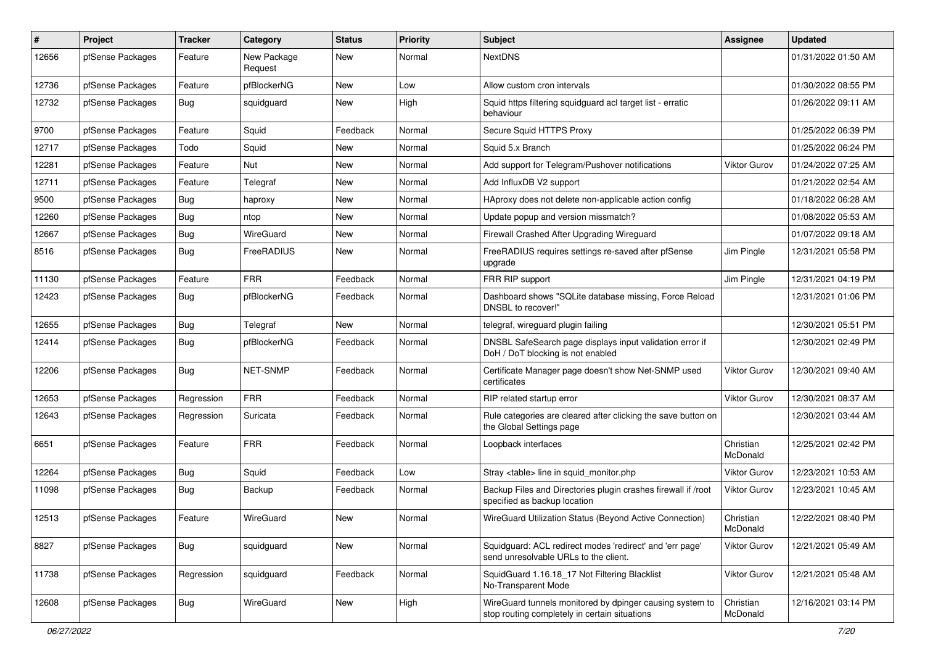| $\pmb{\#}$ | Project          | <b>Tracker</b> | Category               | <b>Status</b> | <b>Priority</b> | Subject                                                                                                   | Assignee              | <b>Updated</b>      |
|------------|------------------|----------------|------------------------|---------------|-----------------|-----------------------------------------------------------------------------------------------------------|-----------------------|---------------------|
| 12656      | pfSense Packages | Feature        | New Package<br>Request | New           | Normal          | <b>NextDNS</b>                                                                                            |                       | 01/31/2022 01:50 AM |
| 12736      | pfSense Packages | Feature        | pfBlockerNG            | New           | Low             | Allow custom cron intervals                                                                               |                       | 01/30/2022 08:55 PM |
| 12732      | pfSense Packages | Bug            | squidguard             | New           | High            | Squid https filtering squidguard acl target list - erratic<br>behaviour                                   |                       | 01/26/2022 09:11 AM |
| 9700       | pfSense Packages | Feature        | Squid                  | Feedback      | Normal          | Secure Squid HTTPS Proxy                                                                                  |                       | 01/25/2022 06:39 PM |
| 12717      | pfSense Packages | Todo           | Squid                  | New           | Normal          | Squid 5.x Branch                                                                                          |                       | 01/25/2022 06:24 PM |
| 12281      | pfSense Packages | Feature        | Nut                    | New           | Normal          | Add support for Telegram/Pushover notifications                                                           | <b>Viktor Gurov</b>   | 01/24/2022 07:25 AM |
| 12711      | pfSense Packages | Feature        | Telegraf               | New           | Normal          | Add InfluxDB V2 support                                                                                   |                       | 01/21/2022 02:54 AM |
| 9500       | pfSense Packages | Bug            | haproxy                | New           | Normal          | HAproxy does not delete non-applicable action config                                                      |                       | 01/18/2022 06:28 AM |
| 12260      | pfSense Packages | Bug            | ntop                   | <b>New</b>    | Normal          | Update popup and version missmatch?                                                                       |                       | 01/08/2022 05:53 AM |
| 12667      | pfSense Packages | Bug            | WireGuard              | New           | Normal          | Firewall Crashed After Upgrading Wireguard                                                                |                       | 01/07/2022 09:18 AM |
| 8516       | pfSense Packages | Bug            | FreeRADIUS             | <b>New</b>    | Normal          | FreeRADIUS requires settings re-saved after pfSense<br>upgrade                                            | Jim Pingle            | 12/31/2021 05:58 PM |
| 11130      | pfSense Packages | Feature        | <b>FRR</b>             | Feedback      | Normal          | FRR RIP support                                                                                           | Jim Pingle            | 12/31/2021 04:19 PM |
| 12423      | pfSense Packages | Bug            | pfBlockerNG            | Feedback      | Normal          | Dashboard shows "SQLite database missing, Force Reload<br>DNSBL to recover!"                              |                       | 12/31/2021 01:06 PM |
| 12655      | pfSense Packages | Bug            | Telegraf               | <b>New</b>    | Normal          | telegraf, wireguard plugin failing                                                                        |                       | 12/30/2021 05:51 PM |
| 12414      | pfSense Packages | Bug            | pfBlockerNG            | Feedback      | Normal          | DNSBL SafeSearch page displays input validation error if<br>DoH / DoT blocking is not enabled             |                       | 12/30/2021 02:49 PM |
| 12206      | pfSense Packages | Bug            | NET-SNMP               | Feedback      | Normal          | Certificate Manager page doesn't show Net-SNMP used<br>certificates                                       | Viktor Gurov          | 12/30/2021 09:40 AM |
| 12653      | pfSense Packages | Regression     | <b>FRR</b>             | Feedback      | Normal          | RIP related startup error                                                                                 | <b>Viktor Gurov</b>   | 12/30/2021 08:37 AM |
| 12643      | pfSense Packages | Regression     | Suricata               | Feedback      | Normal          | Rule categories are cleared after clicking the save button on<br>the Global Settings page                 |                       | 12/30/2021 03:44 AM |
| 6651       | pfSense Packages | Feature        | <b>FRR</b>             | Feedback      | Normal          | Loopback interfaces                                                                                       | Christian<br>McDonald | 12/25/2021 02:42 PM |
| 12264      | pfSense Packages | Bug            | Squid                  | Feedback      | Low             | Stray <table> line in squid monitor.php</table>                                                           | Viktor Gurov          | 12/23/2021 10:53 AM |
| 11098      | pfSense Packages | <b>Bug</b>     | Backup                 | Feedback      | Normal          | Backup Files and Directories plugin crashes firewall if /root<br>specified as backup location             | <b>Viktor Gurov</b>   | 12/23/2021 10:45 AM |
| 12513      | pfSense Packages | Feature        | WireGuard              | New           | Normal          | WireGuard Utilization Status (Beyond Active Connection)                                                   | Christian<br>McDonald | 12/22/2021 08:40 PM |
| 8827       | pfSense Packages | Bug            | squidguard             | New           | Normal          | Squidguard: ACL redirect modes 'redirect' and 'err page'<br>send unresolvable URLs to the client.         | <b>Viktor Gurov</b>   | 12/21/2021 05:49 AM |
| 11738      | pfSense Packages | Regression     | squidguard             | Feedback      | Normal          | SquidGuard 1.16.18 17 Not Filtering Blacklist<br>No-Transparent Mode                                      | <b>Viktor Gurov</b>   | 12/21/2021 05:48 AM |
| 12608      | pfSense Packages | <b>Bug</b>     | WireGuard              | New           | High            | WireGuard tunnels monitored by dpinger causing system to<br>stop routing completely in certain situations | Christian<br>McDonald | 12/16/2021 03:14 PM |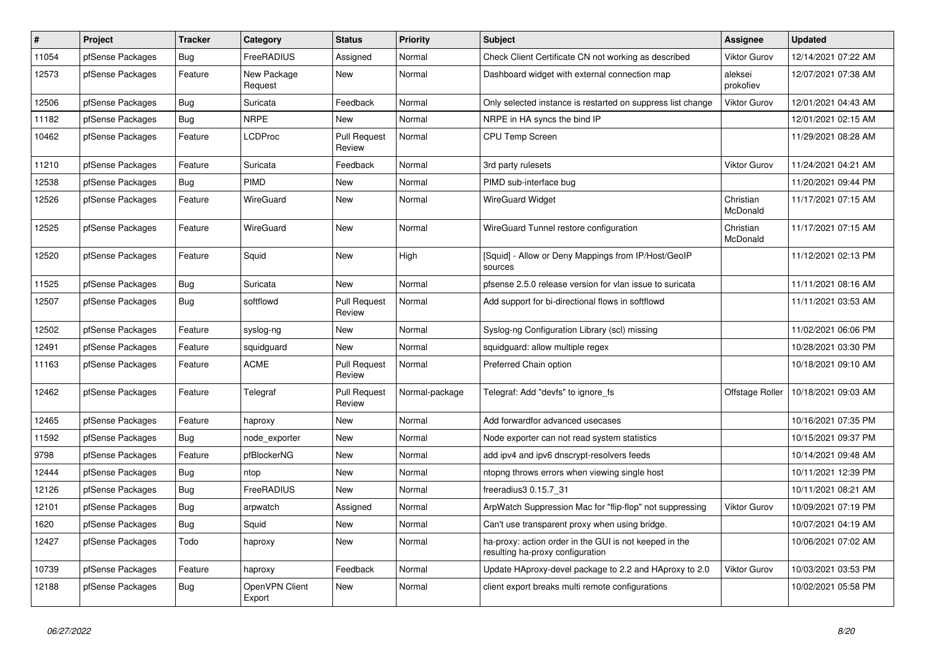| $\#$  | Project          | <b>Tracker</b> | Category                 | <b>Status</b>                 | <b>Priority</b> | <b>Subject</b>                                                                             | Assignee              | <b>Updated</b>      |
|-------|------------------|----------------|--------------------------|-------------------------------|-----------------|--------------------------------------------------------------------------------------------|-----------------------|---------------------|
| 11054 | pfSense Packages | <b>Bug</b>     | FreeRADIUS               | Assigned                      | Normal          | Check Client Certificate CN not working as described                                       | <b>Viktor Gurov</b>   | 12/14/2021 07:22 AM |
| 12573 | pfSense Packages | Feature        | New Package<br>Request   | <b>New</b>                    | Normal          | Dashboard widget with external connection map                                              | aleksei<br>prokofiev  | 12/07/2021 07:38 AM |
| 12506 | pfSense Packages | Bug            | Suricata                 | Feedback                      | Normal          | Only selected instance is restarted on suppress list change                                | <b>Viktor Gurov</b>   | 12/01/2021 04:43 AM |
| 11182 | pfSense Packages | <b>Bug</b>     | <b>NRPE</b>              | New                           | Normal          | NRPE in HA syncs the bind IP                                                               |                       | 12/01/2021 02:15 AM |
| 10462 | pfSense Packages | Feature        | <b>LCDProc</b>           | <b>Pull Request</b><br>Review | Normal          | <b>CPU Temp Screen</b>                                                                     |                       | 11/29/2021 08:28 AM |
| 11210 | pfSense Packages | Feature        | Suricata                 | Feedback                      | Normal          | 3rd party rulesets                                                                         | <b>Viktor Gurov</b>   | 11/24/2021 04:21 AM |
| 12538 | pfSense Packages | Bug            | PIMD                     | New                           | Normal          | PIMD sub-interface bug                                                                     |                       | 11/20/2021 09:44 PM |
| 12526 | pfSense Packages | Feature        | WireGuard                | New                           | Normal          | <b>WireGuard Widget</b>                                                                    | Christian<br>McDonald | 11/17/2021 07:15 AM |
| 12525 | pfSense Packages | Feature        | <b>WireGuard</b>         | <b>New</b>                    | Normal          | WireGuard Tunnel restore configuration                                                     | Christian<br>McDonald | 11/17/2021 07:15 AM |
| 12520 | pfSense Packages | Feature        | Squid                    | New                           | High            | [Squid] - Allow or Deny Mappings from IP/Host/GeoIP<br>sources                             |                       | 11/12/2021 02:13 PM |
| 11525 | pfSense Packages | <b>Bug</b>     | Suricata                 | New                           | Normal          | pfsense 2.5.0 release version for vlan issue to suricata                                   |                       | 11/11/2021 08:16 AM |
| 12507 | pfSense Packages | <b>Bug</b>     | softflowd                | <b>Pull Request</b><br>Review | Normal          | Add support for bi-directional flows in softflowd                                          |                       | 11/11/2021 03:53 AM |
| 12502 | pfSense Packages | Feature        | syslog-ng                | New                           | Normal          | Syslog-ng Configuration Library (scl) missing                                              |                       | 11/02/2021 06:06 PM |
| 12491 | pfSense Packages | Feature        | squidguard               | New                           | Normal          | squidguard: allow multiple regex                                                           |                       | 10/28/2021 03:30 PM |
| 11163 | pfSense Packages | Feature        | <b>ACME</b>              | Pull Request<br>Review        | Normal          | Preferred Chain option                                                                     |                       | 10/18/2021 09:10 AM |
| 12462 | pfSense Packages | Feature        | Telegraf                 | <b>Pull Request</b><br>Review | Normal-package  | Telegraf: Add "devfs" to ignore fs                                                         | Offstage Roller       | 10/18/2021 09:03 AM |
| 12465 | pfSense Packages | Feature        | haproxy                  | <b>New</b>                    | Normal          | Add forwardfor advanced usecases                                                           |                       | 10/16/2021 07:35 PM |
| 11592 | pfSense Packages | Bug            | node_exporter            | New                           | Normal          | Node exporter can not read system statistics                                               |                       | 10/15/2021 09:37 PM |
| 9798  | pfSense Packages | Feature        | pfBlockerNG              | New                           | Normal          | add ipv4 and ipv6 dnscrypt-resolvers feeds                                                 |                       | 10/14/2021 09:48 AM |
| 12444 | pfSense Packages | <b>Bug</b>     | ntop                     | New                           | Normal          | ntopng throws errors when viewing single host                                              |                       | 10/11/2021 12:39 PM |
| 12126 | pfSense Packages | <b>Bug</b>     | FreeRADIUS               | New                           | Normal          | freeradius3 0.15.7 31                                                                      |                       | 10/11/2021 08:21 AM |
| 12101 | pfSense Packages | <b>Bug</b>     | arpwatch                 | Assigned                      | Normal          | ArpWatch Suppression Mac for "flip-flop" not suppressing                                   | <b>Viktor Gurov</b>   | 10/09/2021 07:19 PM |
| 1620  | pfSense Packages | Bug            | Squid                    | <b>New</b>                    | Normal          | Can't use transparent proxy when using bridge.                                             |                       | 10/07/2021 04:19 AM |
| 12427 | pfSense Packages | Todo           | haproxy                  | New                           | Normal          | ha-proxy: action order in the GUI is not keeped in the<br>resulting ha-proxy configuration |                       | 10/06/2021 07:02 AM |
| 10739 | pfSense Packages | Feature        | haproxy                  | Feedback                      | Normal          | Update HAproxy-devel package to 2.2 and HAproxy to 2.0                                     | <b>Viktor Gurov</b>   | 10/03/2021 03:53 PM |
| 12188 | pfSense Packages | Bug            | OpenVPN Client<br>Export | New                           | Normal          | client export breaks multi remote configurations                                           |                       | 10/02/2021 05:58 PM |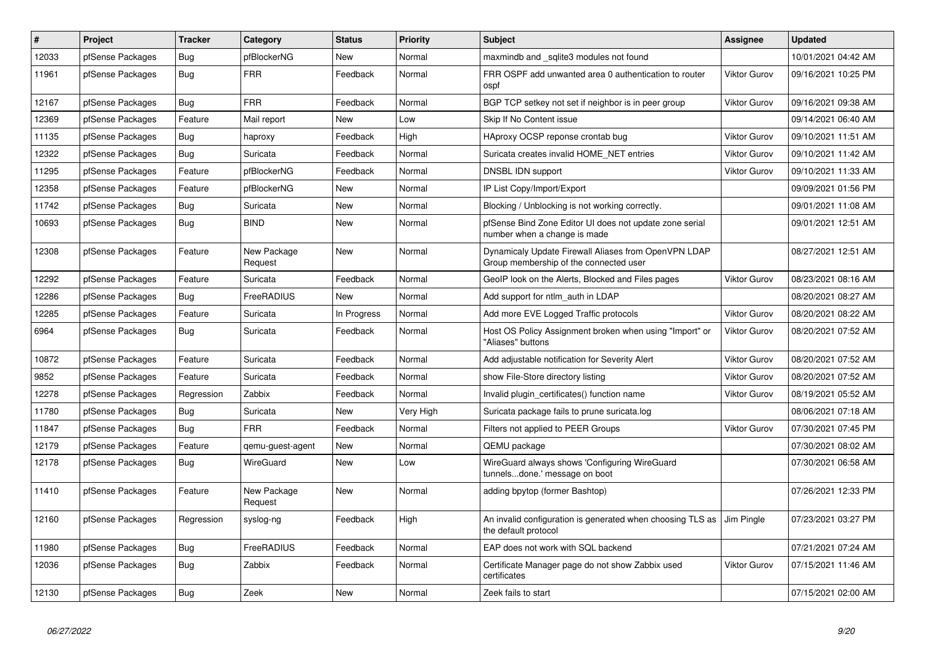| $\vert$ # | <b>Project</b>   | <b>Tracker</b> | Category               | <b>Status</b> | <b>Priority</b> | <b>Subject</b>                                                                                 | <b>Assignee</b>     | <b>Updated</b>      |
|-----------|------------------|----------------|------------------------|---------------|-----------------|------------------------------------------------------------------------------------------------|---------------------|---------------------|
| 12033     | pfSense Packages | Bug            | pfBlockerNG            | <b>New</b>    | Normal          | maxmindb and sqlite3 modules not found                                                         |                     | 10/01/2021 04:42 AM |
| 11961     | pfSense Packages | Bug            | <b>FRR</b>             | Feedback      | Normal          | FRR OSPF add unwanted area 0 authentication to router<br>ospf                                  | Viktor Gurov        | 09/16/2021 10:25 PM |
| 12167     | pfSense Packages | <b>Bug</b>     | <b>FRR</b>             | Feedback      | Normal          | BGP TCP setkey not set if neighbor is in peer group                                            | <b>Viktor Gurov</b> | 09/16/2021 09:38 AM |
| 12369     | pfSense Packages | Feature        | Mail report            | <b>New</b>    | Low             | Skip If No Content issue                                                                       |                     | 09/14/2021 06:40 AM |
| 11135     | pfSense Packages | Bug            | haproxy                | Feedback      | High            | HAproxy OCSP reponse crontab bug                                                               | <b>Viktor Gurov</b> | 09/10/2021 11:51 AM |
| 12322     | pfSense Packages | Bug            | Suricata               | Feedback      | Normal          | Suricata creates invalid HOME NET entries                                                      | <b>Viktor Gurov</b> | 09/10/2021 11:42 AM |
| 11295     | pfSense Packages | Feature        | pfBlockerNG            | Feedback      | Normal          | DNSBL IDN support                                                                              | <b>Viktor Gurov</b> | 09/10/2021 11:33 AM |
| 12358     | pfSense Packages | Feature        | pfBlockerNG            | <b>New</b>    | Normal          | IP List Copy/Import/Export                                                                     |                     | 09/09/2021 01:56 PM |
| 11742     | pfSense Packages | <b>Bug</b>     | Suricata               | New           | Normal          | Blocking / Unblocking is not working correctly.                                                |                     | 09/01/2021 11:08 AM |
| 10693     | pfSense Packages | Bug            | <b>BIND</b>            | New           | Normal          | pfSense Bind Zone Editor UI does not update zone serial<br>number when a change is made        |                     | 09/01/2021 12:51 AM |
| 12308     | pfSense Packages | Feature        | New Package<br>Request | New           | Normal          | Dynamicaly Update Firewall Aliases from OpenVPN LDAP<br>Group membership of the connected user |                     | 08/27/2021 12:51 AM |
| 12292     | pfSense Packages | Feature        | Suricata               | Feedback      | Normal          | GeoIP look on the Alerts, Blocked and Files pages                                              | <b>Viktor Gurov</b> | 08/23/2021 08:16 AM |
| 12286     | pfSense Packages | Bug            | FreeRADIUS             | <b>New</b>    | Normal          | Add support for ntlm auth in LDAP                                                              |                     | 08/20/2021 08:27 AM |
| 12285     | pfSense Packages | Feature        | Suricata               | In Progress   | Normal          | Add more EVE Logged Traffic protocols                                                          | <b>Viktor Gurov</b> | 08/20/2021 08:22 AM |
| 6964      | pfSense Packages | Bug            | Suricata               | Feedback      | Normal          | Host OS Policy Assignment broken when using "Import" or<br>"Aliases" buttons                   | Viktor Gurov        | 08/20/2021 07:52 AM |
| 10872     | pfSense Packages | Feature        | Suricata               | Feedback      | Normal          | Add adjustable notification for Severity Alert                                                 | <b>Viktor Gurov</b> | 08/20/2021 07:52 AM |
| 9852      | pfSense Packages | Feature        | Suricata               | Feedback      | Normal          | show File-Store directory listing                                                              | <b>Viktor Gurov</b> | 08/20/2021 07:52 AM |
| 12278     | pfSense Packages | Regression     | Zabbix                 | Feedback      | Normal          | Invalid plugin certificates() function name                                                    | <b>Viktor Gurov</b> | 08/19/2021 05:52 AM |
| 11780     | pfSense Packages | Bug            | Suricata               | New           | Very High       | Suricata package fails to prune suricata.log                                                   |                     | 08/06/2021 07:18 AM |
| 11847     | pfSense Packages | Bug            | <b>FRR</b>             | Feedback      | Normal          | Filters not applied to PEER Groups                                                             | <b>Viktor Gurov</b> | 07/30/2021 07:45 PM |
| 12179     | pfSense Packages | Feature        | qemu-guest-agent       | New           | Normal          | QEMU package                                                                                   |                     | 07/30/2021 08:02 AM |
| 12178     | pfSense Packages | Bug            | WireGuard              | New           | Low             | WireGuard always shows 'Configuring WireGuard<br>tunnelsdone.' message on boot                 |                     | 07/30/2021 06:58 AM |
| 11410     | pfSense Packages | Feature        | New Package<br>Request | <b>New</b>    | Normal          | adding bpytop (former Bashtop)                                                                 |                     | 07/26/2021 12:33 PM |
| 12160     | pfSense Packages | Regression     | syslog-ng              | Feedback      | High            | An invalid configuration is generated when choosing TLS as<br>the default protocol             | Jim Pingle          | 07/23/2021 03:27 PM |
| 11980     | pfSense Packages | Bug            | FreeRADIUS             | Feedback      | Normal          | EAP does not work with SQL backend                                                             |                     | 07/21/2021 07:24 AM |
| 12036     | pfSense Packages | Bug            | Zabbix                 | Feedback      | Normal          | Certificate Manager page do not show Zabbix used<br>certificates                               | <b>Viktor Gurov</b> | 07/15/2021 11:46 AM |
| 12130     | pfSense Packages | Bug            | Zeek                   | New           | Normal          | Zeek fails to start                                                                            |                     | 07/15/2021 02:00 AM |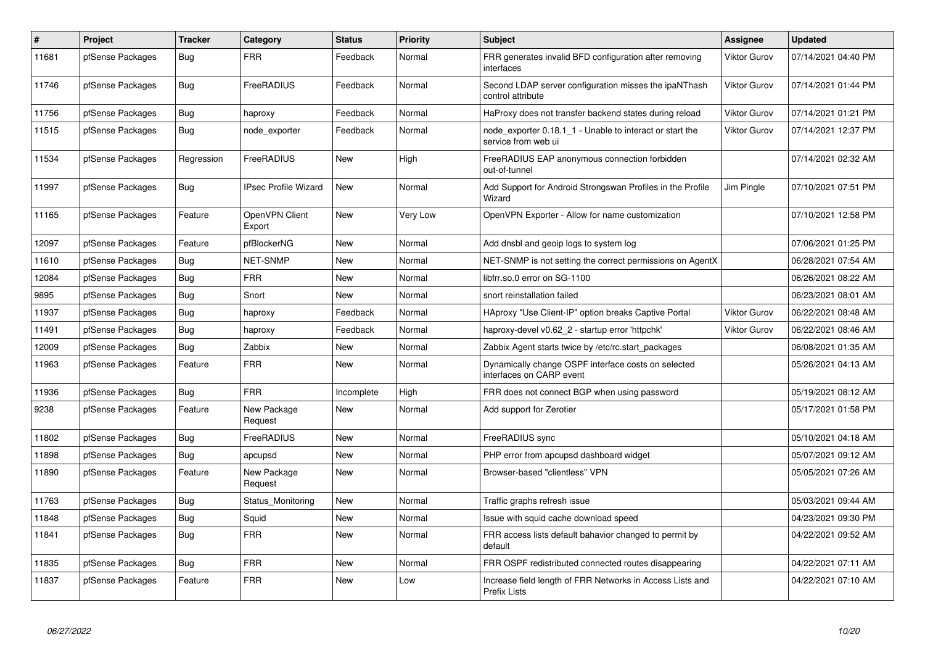| #     | Project          | <b>Tracker</b> | Category                    | <b>Status</b> | Priority | <b>Subject</b>                                                                  | Assignee            | <b>Updated</b>      |
|-------|------------------|----------------|-----------------------------|---------------|----------|---------------------------------------------------------------------------------|---------------------|---------------------|
| 11681 | pfSense Packages | Bug            | <b>FRR</b>                  | Feedback      | Normal   | FRR generates invalid BFD configuration after removing<br>interfaces            | <b>Viktor Gurov</b> | 07/14/2021 04:40 PM |
| 11746 | pfSense Packages | Bug            | FreeRADIUS                  | Feedback      | Normal   | Second LDAP server configuration misses the ipaNThash<br>control attribute      | <b>Viktor Gurov</b> | 07/14/2021 01:44 PM |
| 11756 | pfSense Packages | Bug            | haproxy                     | Feedback      | Normal   | HaProxy does not transfer backend states during reload                          | <b>Viktor Gurov</b> | 07/14/2021 01:21 PM |
| 11515 | pfSense Packages | Bug            | node exporter               | Feedback      | Normal   | node exporter 0.18.1 1 - Unable to interact or start the<br>service from web ui | <b>Viktor Gurov</b> | 07/14/2021 12:37 PM |
| 11534 | pfSense Packages | Regression     | FreeRADIUS                  | <b>New</b>    | High     | FreeRADIUS EAP anonymous connection forbidden<br>out-of-tunnel                  |                     | 07/14/2021 02:32 AM |
| 11997 | pfSense Packages | <b>Bug</b>     | <b>IPsec Profile Wizard</b> | <b>New</b>    | Normal   | Add Support for Android Strongswan Profiles in the Profile<br>Wizard            | Jim Pingle          | 07/10/2021 07:51 PM |
| 11165 | pfSense Packages | Feature        | OpenVPN Client<br>Export    | <b>New</b>    | Very Low | OpenVPN Exporter - Allow for name customization                                 |                     | 07/10/2021 12:58 PM |
| 12097 | pfSense Packages | Feature        | pfBlockerNG                 | New           | Normal   | Add dnsbl and geoip logs to system log                                          |                     | 07/06/2021 01:25 PM |
| 11610 | pfSense Packages | <b>Bug</b>     | <b>NET-SNMP</b>             | <b>New</b>    | Normal   | NET-SNMP is not setting the correct permissions on AgentX                       |                     | 06/28/2021 07:54 AM |
| 12084 | pfSense Packages | Bug            | <b>FRR</b>                  | <b>New</b>    | Normal   | libfrr.so.0 error on SG-1100                                                    |                     | 06/26/2021 08:22 AM |
| 9895  | pfSense Packages | Bug            | Snort                       | <b>New</b>    | Normal   | snort reinstallation failed                                                     |                     | 06/23/2021 08:01 AM |
| 11937 | pfSense Packages | <b>Bug</b>     | haproxy                     | Feedback      | Normal   | HAproxy "Use Client-IP" option breaks Captive Portal                            | <b>Viktor Gurov</b> | 06/22/2021 08:48 AM |
| 11491 | pfSense Packages | Bug            | haproxy                     | Feedback      | Normal   | haproxy-devel v0.62_2 - startup error 'httpchk'                                 | <b>Viktor Gurov</b> | 06/22/2021 08:46 AM |
| 12009 | pfSense Packages | <b>Bug</b>     | Zabbix                      | <b>New</b>    | Normal   | Zabbix Agent starts twice by /etc/rc.start packages                             |                     | 06/08/2021 01:35 AM |
| 11963 | pfSense Packages | Feature        | <b>FRR</b>                  | <b>New</b>    | Normal   | Dynamically change OSPF interface costs on selected<br>interfaces on CARP event |                     | 05/26/2021 04:13 AM |
| 11936 | pfSense Packages | Bug            | <b>FRR</b>                  | Incomplete    | High     | FRR does not connect BGP when using password                                    |                     | 05/19/2021 08:12 AM |
| 9238  | pfSense Packages | Feature        | New Package<br>Request      | <b>New</b>    | Normal   | Add support for Zerotier                                                        |                     | 05/17/2021 01:58 PM |
| 11802 | pfSense Packages | Bug            | FreeRADIUS                  | <b>New</b>    | Normal   | FreeRADIUS sync                                                                 |                     | 05/10/2021 04:18 AM |
| 11898 | pfSense Packages | Bug            | apcupsd                     | <b>New</b>    | Normal   | PHP error from apcupsd dashboard widget                                         |                     | 05/07/2021 09:12 AM |
| 11890 | pfSense Packages | Feature        | New Package<br>Request      | <b>New</b>    | Normal   | Browser-based "clientless" VPN                                                  |                     | 05/05/2021 07:26 AM |
| 11763 | pfSense Packages | Bug            | Status Monitoring           | <b>New</b>    | Normal   | Traffic graphs refresh issue                                                    |                     | 05/03/2021 09:44 AM |
| 11848 | pfSense Packages | <b>Bug</b>     | Squid                       | <b>New</b>    | Normal   | Issue with squid cache download speed                                           |                     | 04/23/2021 09:30 PM |
| 11841 | pfSense Packages | Bug            | <b>FRR</b>                  | <b>New</b>    | Normal   | FRR access lists default bahavior changed to permit by<br>default               |                     | 04/22/2021 09:52 AM |
| 11835 | pfSense Packages | Bug            | <b>FRR</b>                  | <b>New</b>    | Normal   | FRR OSPF redistributed connected routes disappearing                            |                     | 04/22/2021 07:11 AM |
| 11837 | pfSense Packages | Feature        | <b>FRR</b>                  | <b>New</b>    | Low      | Increase field length of FRR Networks in Access Lists and<br>Prefix Lists       |                     | 04/22/2021 07:10 AM |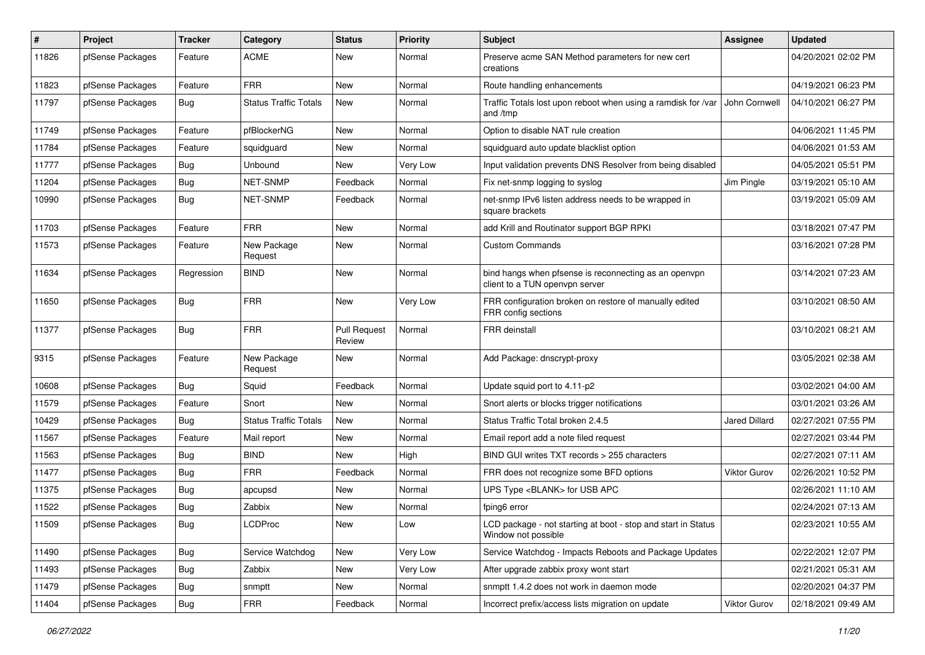| #     | Project          | Tracker    | Category                     | <b>Status</b>                 | <b>Priority</b> | <b>Subject</b>                                                                          | <b>Assignee</b>     | <b>Updated</b>      |
|-------|------------------|------------|------------------------------|-------------------------------|-----------------|-----------------------------------------------------------------------------------------|---------------------|---------------------|
| 11826 | pfSense Packages | Feature    | <b>ACME</b>                  | New                           | Normal          | Preserve acme SAN Method parameters for new cert<br>creations                           |                     | 04/20/2021 02:02 PM |
| 11823 | pfSense Packages | Feature    | <b>FRR</b>                   | New                           | Normal          | Route handling enhancements                                                             |                     | 04/19/2021 06:23 PM |
| 11797 | pfSense Packages | Bug        | <b>Status Traffic Totals</b> | New                           | Normal          | Traffic Totals lost upon reboot when using a ramdisk for /var<br>and /tmp               | John Cornwell       | 04/10/2021 06:27 PM |
| 11749 | pfSense Packages | Feature    | pfBlockerNG                  | New                           | Normal          | Option to disable NAT rule creation                                                     |                     | 04/06/2021 11:45 PM |
| 11784 | pfSense Packages | Feature    | squidguard                   | New                           | Normal          | squidguard auto update blacklist option                                                 |                     | 04/06/2021 01:53 AM |
| 11777 | pfSense Packages | Bug        | Unbound                      | New                           | Very Low        | Input validation prevents DNS Resolver from being disabled                              |                     | 04/05/2021 05:51 PM |
| 11204 | pfSense Packages | Bug        | NET-SNMP                     | Feedback                      | Normal          | Fix net-snmp logging to syslog                                                          | Jim Pingle          | 03/19/2021 05:10 AM |
| 10990 | pfSense Packages | Bug        | NET-SNMP                     | Feedback                      | Normal          | net-snmp IPv6 listen address needs to be wrapped in<br>square brackets                  |                     | 03/19/2021 05:09 AM |
| 11703 | pfSense Packages | Feature    | <b>FRR</b>                   | New                           | Normal          | add Krill and Routinator support BGP RPKI                                               |                     | 03/18/2021 07:47 PM |
| 11573 | pfSense Packages | Feature    | New Package<br>Request       | New                           | Normal          | <b>Custom Commands</b>                                                                  |                     | 03/16/2021 07:28 PM |
| 11634 | pfSense Packages | Regression | <b>BIND</b>                  | New                           | Normal          | bind hangs when pfsense is reconnecting as an openvpn<br>client to a TUN openypn server |                     | 03/14/2021 07:23 AM |
| 11650 | pfSense Packages | Bug        | <b>FRR</b>                   | <b>New</b>                    | Very Low        | FRR configuration broken on restore of manually edited<br>FRR config sections           |                     | 03/10/2021 08:50 AM |
| 11377 | pfSense Packages | Bug        | <b>FRR</b>                   | <b>Pull Request</b><br>Review | Normal          | <b>FRR</b> deinstall                                                                    |                     | 03/10/2021 08:21 AM |
| 9315  | pfSense Packages | Feature    | New Package<br>Request       | New                           | Normal          | Add Package: dnscrypt-proxy                                                             |                     | 03/05/2021 02:38 AM |
| 10608 | pfSense Packages | Bug        | Squid                        | Feedback                      | Normal          | Update squid port to 4.11-p2                                                            |                     | 03/02/2021 04:00 AM |
| 11579 | pfSense Packages | Feature    | Snort                        | <b>New</b>                    | Normal          | Snort alerts or blocks trigger notifications                                            |                     | 03/01/2021 03:26 AM |
| 10429 | pfSense Packages | Bug        | <b>Status Traffic Totals</b> | New                           | Normal          | Status Traffic Total broken 2.4.5                                                       | Jared Dillard       | 02/27/2021 07:55 PM |
| 11567 | pfSense Packages | Feature    | Mail report                  | New                           | Normal          | Email report add a note filed request                                                   |                     | 02/27/2021 03:44 PM |
| 11563 | pfSense Packages | <b>Bug</b> | <b>BIND</b>                  | New                           | High            | BIND GUI writes TXT records > 255 characters                                            |                     | 02/27/2021 07:11 AM |
| 11477 | pfSense Packages | Bug        | <b>FRR</b>                   | Feedback                      | Normal          | FRR does not recognize some BFD options                                                 | Viktor Gurov        | 02/26/2021 10:52 PM |
| 11375 | pfSense Packages | <b>Bug</b> | apcupsd                      | New                           | Normal          | UPS Type <blank> for USB APC</blank>                                                    |                     | 02/26/2021 11:10 AM |
| 11522 | pfSense Packages | <b>Bug</b> | Zabbix                       | New                           | Normal          | fping6 error                                                                            |                     | 02/24/2021 07:13 AM |
| 11509 | pfSense Packages | Bug        | LCDProc                      | <b>New</b>                    | Low             | LCD package - not starting at boot - stop and start in Status<br>Window not possible    |                     | 02/23/2021 10:55 AM |
| 11490 | pfSense Packages | Bug        | Service Watchdog             | New                           | Very Low        | Service Watchdog - Impacts Reboots and Package Updates                                  |                     | 02/22/2021 12:07 PM |
| 11493 | pfSense Packages | Bug        | Zabbix                       | New                           | Very Low        | After upgrade zabbix proxy wont start                                                   |                     | 02/21/2021 05:31 AM |
| 11479 | pfSense Packages | Bug        | snmptt                       | New                           | Normal          | snmptt 1.4.2 does not work in daemon mode                                               |                     | 02/20/2021 04:37 PM |
| 11404 | pfSense Packages | <b>Bug</b> | <b>FRR</b>                   | Feedback                      | Normal          | Incorrect prefix/access lists migration on update                                       | <b>Viktor Gurov</b> | 02/18/2021 09:49 AM |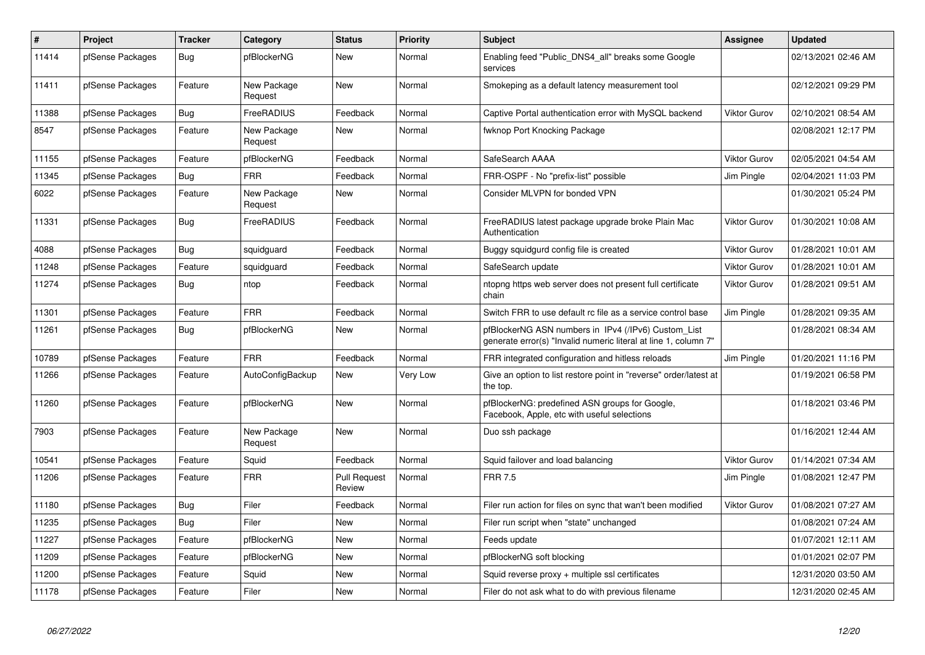| $\#$  | <b>Project</b>   | <b>Tracker</b> | Category               | <b>Status</b>                 | <b>Priority</b> | <b>Subject</b>                                                                                                         | <b>Assignee</b>     | <b>Updated</b>      |
|-------|------------------|----------------|------------------------|-------------------------------|-----------------|------------------------------------------------------------------------------------------------------------------------|---------------------|---------------------|
| 11414 | pfSense Packages | Bug            | pfBlockerNG            | <b>New</b>                    | Normal          | Enabling feed "Public DNS4 all" breaks some Google<br>services                                                         |                     | 02/13/2021 02:46 AM |
| 11411 | pfSense Packages | Feature        | New Package<br>Request | <b>New</b>                    | Normal          | Smokeping as a default latency measurement tool                                                                        |                     | 02/12/2021 09:29 PM |
| 11388 | pfSense Packages | Bug            | FreeRADIUS             | Feedback                      | Normal          | Captive Portal authentication error with MySQL backend                                                                 | <b>Viktor Gurov</b> | 02/10/2021 08:54 AM |
| 8547  | pfSense Packages | Feature        | New Package<br>Request | <b>New</b>                    | Normal          | fwknop Port Knocking Package                                                                                           |                     | 02/08/2021 12:17 PM |
| 11155 | pfSense Packages | Feature        | pfBlockerNG            | Feedback                      | Normal          | SafeSearch AAAA                                                                                                        | <b>Viktor Gurov</b> | 02/05/2021 04:54 AM |
| 11345 | pfSense Packages | <b>Bug</b>     | <b>FRR</b>             | Feedback                      | Normal          | FRR-OSPF - No "prefix-list" possible                                                                                   | Jim Pingle          | 02/04/2021 11:03 PM |
| 6022  | pfSense Packages | Feature        | New Package<br>Request | <b>New</b>                    | Normal          | Consider MLVPN for bonded VPN                                                                                          |                     | 01/30/2021 05:24 PM |
| 11331 | pfSense Packages | Bug            | FreeRADIUS             | Feedback                      | Normal          | FreeRADIUS latest package upgrade broke Plain Mac<br>Authentication                                                    | Viktor Gurov        | 01/30/2021 10:08 AM |
| 4088  | pfSense Packages | Bug            | squidguard             | Feedback                      | Normal          | Buggy squidgurd config file is created                                                                                 | <b>Viktor Gurov</b> | 01/28/2021 10:01 AM |
| 11248 | pfSense Packages | Feature        | squidguard             | Feedback                      | Normal          | SafeSearch update                                                                                                      | Viktor Gurov        | 01/28/2021 10:01 AM |
| 11274 | pfSense Packages | Bug            | ntop                   | Feedback                      | Normal          | ntopng https web server does not present full certificate<br>chain                                                     | <b>Viktor Gurov</b> | 01/28/2021 09:51 AM |
| 11301 | pfSense Packages | Feature        | <b>FRR</b>             | Feedback                      | Normal          | Switch FRR to use default rc file as a service control base                                                            | Jim Pingle          | 01/28/2021 09:35 AM |
| 11261 | pfSense Packages | Bug            | pfBlockerNG            | <b>New</b>                    | Normal          | pfBlockerNG ASN numbers in IPv4 (/IPv6) Custom_List<br>generate error(s) "Invalid numeric literal at line 1, column 7" |                     | 01/28/2021 08:34 AM |
| 10789 | pfSense Packages | Feature        | <b>FRR</b>             | Feedback                      | Normal          | FRR integrated configuration and hitless reloads                                                                       | Jim Pingle          | 01/20/2021 11:16 PM |
| 11266 | pfSense Packages | Feature        | AutoConfigBackup       | <b>New</b>                    | Very Low        | Give an option to list restore point in "reverse" order/latest at<br>the top.                                          |                     | 01/19/2021 06:58 PM |
| 11260 | pfSense Packages | Feature        | pfBlockerNG            | <b>New</b>                    | Normal          | pfBlockerNG: predefined ASN groups for Google,<br>Facebook, Apple, etc with useful selections                          |                     | 01/18/2021 03:46 PM |
| 7903  | pfSense Packages | Feature        | New Package<br>Request | <b>New</b>                    | Normal          | Duo ssh package                                                                                                        |                     | 01/16/2021 12:44 AM |
| 10541 | pfSense Packages | Feature        | Squid                  | Feedback                      | Normal          | Squid failover and load balancing                                                                                      | Viktor Gurov        | 01/14/2021 07:34 AM |
| 11206 | pfSense Packages | Feature        | <b>FRR</b>             | <b>Pull Request</b><br>Review | Normal          | <b>FRR 7.5</b>                                                                                                         | Jim Pingle          | 01/08/2021 12:47 PM |
| 11180 | pfSense Packages | Bug            | Filer                  | Feedback                      | Normal          | Filer run action for files on sync that wan't been modified                                                            | <b>Viktor Gurov</b> | 01/08/2021 07:27 AM |
| 11235 | pfSense Packages | Bug            | Filer                  | New                           | Normal          | Filer run script when "state" unchanged                                                                                |                     | 01/08/2021 07:24 AM |
| 11227 | pfSense Packages | Feature        | pfBlockerNG            | New                           | Normal          | Feeds update                                                                                                           |                     | 01/07/2021 12:11 AM |
| 11209 | pfSense Packages | Feature        | pfBlockerNG            | New                           | Normal          | pfBlockerNG soft blocking                                                                                              |                     | 01/01/2021 02:07 PM |
| 11200 | pfSense Packages | Feature        | Squid                  | <b>New</b>                    | Normal          | Squid reverse proxy + multiple ssl certificates                                                                        |                     | 12/31/2020 03:50 AM |
| 11178 | pfSense Packages | Feature        | Filer                  | <b>New</b>                    | Normal          | Filer do not ask what to do with previous filename                                                                     |                     | 12/31/2020 02:45 AM |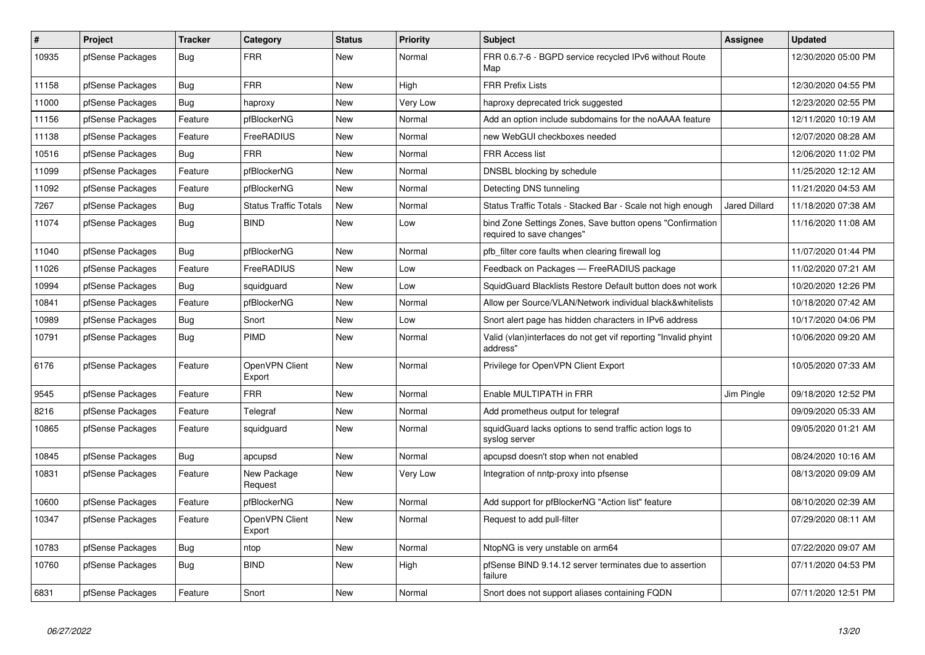| #     | <b>Project</b>   | <b>Tracker</b> | Category                     | <b>Status</b> | Priority | <b>Subject</b>                                                                         | <b>Assignee</b> | <b>Updated</b>      |
|-------|------------------|----------------|------------------------------|---------------|----------|----------------------------------------------------------------------------------------|-----------------|---------------------|
| 10935 | pfSense Packages | Bug            | <b>FRR</b>                   | New           | Normal   | FRR 0.6.7-6 - BGPD service recycled IPv6 without Route<br>Map                          |                 | 12/30/2020 05:00 PM |
| 11158 | pfSense Packages | Bug            | <b>FRR</b>                   | <b>New</b>    | High     | <b>FRR Prefix Lists</b>                                                                |                 | 12/30/2020 04:55 PM |
| 11000 | pfSense Packages | Bug            | haproxy                      | <b>New</b>    | Very Low | haproxy deprecated trick suggested                                                     |                 | 12/23/2020 02:55 PM |
| 11156 | pfSense Packages | Feature        | pfBlockerNG                  | <b>New</b>    | Normal   | Add an option include subdomains for the noAAAA feature                                |                 | 12/11/2020 10:19 AM |
| 11138 | pfSense Packages | Feature        | FreeRADIUS                   | <b>New</b>    | Normal   | new WebGUI checkboxes needed                                                           |                 | 12/07/2020 08:28 AM |
| 10516 | pfSense Packages | Bug            | <b>FRR</b>                   | New           | Normal   | FRR Access list                                                                        |                 | 12/06/2020 11:02 PM |
| 11099 | pfSense Packages | Feature        | pfBlockerNG                  | <b>New</b>    | Normal   | DNSBL blocking by schedule                                                             |                 | 11/25/2020 12:12 AM |
| 11092 | pfSense Packages | Feature        | pfBlockerNG                  | <b>New</b>    | Normal   | Detecting DNS tunneling                                                                |                 | 11/21/2020 04:53 AM |
| 7267  | pfSense Packages | Bug            | <b>Status Traffic Totals</b> | New           | Normal   | Status Traffic Totals - Stacked Bar - Scale not high enough                            | Jared Dillard   | 11/18/2020 07:38 AM |
| 11074 | pfSense Packages | Bug            | <b>BIND</b>                  | <b>New</b>    | Low      | bind Zone Settings Zones, Save button opens "Confirmation<br>required to save changes" |                 | 11/16/2020 11:08 AM |
| 11040 | pfSense Packages | Bug            | pfBlockerNG                  | <b>New</b>    | Normal   | pfb filter core faults when clearing firewall log                                      |                 | 11/07/2020 01:44 PM |
| 11026 | pfSense Packages | Feature        | FreeRADIUS                   | <b>New</b>    | Low      | Feedback on Packages - FreeRADIUS package                                              |                 | 11/02/2020 07:21 AM |
| 10994 | pfSense Packages | Bug            | squidquard                   | <b>New</b>    | Low      | SquidGuard Blacklists Restore Default button does not work                             |                 | 10/20/2020 12:26 PM |
| 10841 | pfSense Packages | Feature        | pfBlockerNG                  | New           | Normal   | Allow per Source/VLAN/Network individual black&whitelists                              |                 | 10/18/2020 07:42 AM |
| 10989 | pfSense Packages | Bug            | Snort                        | <b>New</b>    | Low      | Snort alert page has hidden characters in IPv6 address                                 |                 | 10/17/2020 04:06 PM |
| 10791 | pfSense Packages | Bug            | <b>PIMD</b>                  | <b>New</b>    | Normal   | Valid (vlan)interfaces do not get vif reporting "Invalid phyint<br>address"            |                 | 10/06/2020 09:20 AM |
| 6176  | pfSense Packages | Feature        | OpenVPN Client<br>Export     | New           | Normal   | Privilege for OpenVPN Client Export                                                    |                 | 10/05/2020 07:33 AM |
| 9545  | pfSense Packages | Feature        | <b>FRR</b>                   | <b>New</b>    | Normal   | Enable MULTIPATH in FRR                                                                | Jim Pingle      | 09/18/2020 12:52 PM |
| 8216  | pfSense Packages | Feature        | Telegraf                     | <b>New</b>    | Normal   | Add prometheus output for telegraf                                                     |                 | 09/09/2020 05:33 AM |
| 10865 | pfSense Packages | Feature        | squidguard                   | <b>New</b>    | Normal   | squidGuard lacks options to send traffic action logs to<br>syslog server               |                 | 09/05/2020 01:21 AM |
| 10845 | pfSense Packages | Bug            | apcupsd                      | <b>New</b>    | Normal   | apcupsd doesn't stop when not enabled                                                  |                 | 08/24/2020 10:16 AM |
| 10831 | pfSense Packages | Feature        | New Package<br>Request       | <b>New</b>    | Very Low | Integration of nntp-proxy into pfsense                                                 |                 | 08/13/2020 09:09 AM |
| 10600 | pfSense Packages | Feature        | pfBlockerNG                  | <b>New</b>    | Normal   | Add support for pfBlockerNG "Action list" feature                                      |                 | 08/10/2020 02:39 AM |
| 10347 | pfSense Packages | Feature        | OpenVPN Client<br>Export     | <b>New</b>    | Normal   | Request to add pull-filter                                                             |                 | 07/29/2020 08:11 AM |
| 10783 | pfSense Packages | <b>Bug</b>     | ntop                         | New           | Normal   | NtopNG is very unstable on arm64                                                       |                 | 07/22/2020 09:07 AM |
| 10760 | pfSense Packages | Bug            | <b>BIND</b>                  | <b>New</b>    | High     | pfSense BIND 9.14.12 server terminates due to assertion<br>failure                     |                 | 07/11/2020 04:53 PM |
| 6831  | pfSense Packages | Feature        | Snort                        | <b>New</b>    | Normal   | Snort does not support aliases containing FQDN                                         |                 | 07/11/2020 12:51 PM |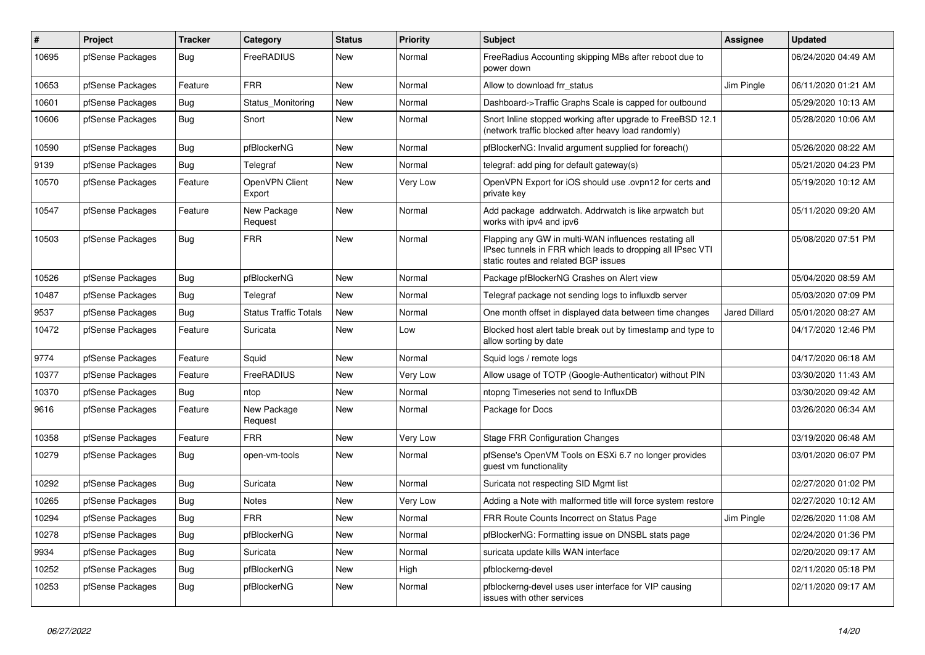| #     | <b>Project</b>   | <b>Tracker</b> | Category                     | <b>Status</b> | Priority | <b>Subject</b>                                                                                                                                              | <b>Assignee</b>      | <b>Updated</b>      |
|-------|------------------|----------------|------------------------------|---------------|----------|-------------------------------------------------------------------------------------------------------------------------------------------------------------|----------------------|---------------------|
| 10695 | pfSense Packages | Bug            | FreeRADIUS                   | New           | Normal   | Free Radius Accounting skipping MBs after reboot due to<br>power down                                                                                       |                      | 06/24/2020 04:49 AM |
| 10653 | pfSense Packages | Feature        | <b>FRR</b>                   | <b>New</b>    | Normal   | Allow to download frr status                                                                                                                                | Jim Pingle           | 06/11/2020 01:21 AM |
| 10601 | pfSense Packages | <b>Bug</b>     | Status Monitoring            | <b>New</b>    | Normal   | Dashboard->Traffic Graphs Scale is capped for outbound                                                                                                      |                      | 05/29/2020 10:13 AM |
| 10606 | pfSense Packages | Bug            | Snort                        | <b>New</b>    | Normal   | Snort Inline stopped working after upgrade to FreeBSD 12.1<br>(network traffic blocked after heavy load randomly)                                           |                      | 05/28/2020 10:06 AM |
| 10590 | pfSense Packages | Bug            | pfBlockerNG                  | <b>New</b>    | Normal   | pfBlockerNG: Invalid argument supplied for foreach()                                                                                                        |                      | 05/26/2020 08:22 AM |
| 9139  | pfSense Packages | <b>Bug</b>     | Telegraf                     | <b>New</b>    | Normal   | telegraf: add ping for default gateway(s)                                                                                                                   |                      | 05/21/2020 04:23 PM |
| 10570 | pfSense Packages | Feature        | OpenVPN Client<br>Export     | <b>New</b>    | Very Low | OpenVPN Export for iOS should use .ovpn12 for certs and<br>private key                                                                                      |                      | 05/19/2020 10:12 AM |
| 10547 | pfSense Packages | Feature        | New Package<br>Request       | New           | Normal   | Add package addrwatch. Addrwatch is like arpwatch but<br>works with ipv4 and ipv6                                                                           |                      | 05/11/2020 09:20 AM |
| 10503 | pfSense Packages | Bug            | <b>FRR</b>                   | New           | Normal   | Flapping any GW in multi-WAN influences restating all<br>IPsec tunnels in FRR which leads to dropping all IPsec VTI<br>static routes and related BGP issues |                      | 05/08/2020 07:51 PM |
| 10526 | pfSense Packages | Bug            | pfBlockerNG                  | <b>New</b>    | Normal   | Package pfBlockerNG Crashes on Alert view                                                                                                                   |                      | 05/04/2020 08:59 AM |
| 10487 | pfSense Packages | <b>Bug</b>     | Telegraf                     | <b>New</b>    | Normal   | Telegraf package not sending logs to influxdb server                                                                                                        |                      | 05/03/2020 07:09 PM |
| 9537  | pfSense Packages | Bug            | <b>Status Traffic Totals</b> | <b>New</b>    | Normal   | One month offset in displayed data between time changes                                                                                                     | <b>Jared Dillard</b> | 05/01/2020 08:27 AM |
| 10472 | pfSense Packages | Feature        | Suricata                     | <b>New</b>    | Low      | Blocked host alert table break out by timestamp and type to<br>allow sorting by date                                                                        |                      | 04/17/2020 12:46 PM |
| 9774  | pfSense Packages | Feature        | Squid                        | <b>New</b>    | Normal   | Squid logs / remote logs                                                                                                                                    |                      | 04/17/2020 06:18 AM |
| 10377 | pfSense Packages | Feature        | FreeRADIUS                   | New           | Very Low | Allow usage of TOTP (Google-Authenticator) without PIN                                                                                                      |                      | 03/30/2020 11:43 AM |
| 10370 | pfSense Packages | <b>Bug</b>     | ntop                         | New           | Normal   | ntopng Timeseries not send to InfluxDB                                                                                                                      |                      | 03/30/2020 09:42 AM |
| 9616  | pfSense Packages | Feature        | New Package<br>Request       | New           | Normal   | Package for Docs                                                                                                                                            |                      | 03/26/2020 06:34 AM |
| 10358 | pfSense Packages | Feature        | <b>FRR</b>                   | <b>New</b>    | Very Low | <b>Stage FRR Configuration Changes</b>                                                                                                                      |                      | 03/19/2020 06:48 AM |
| 10279 | pfSense Packages | Bug            | open-vm-tools                | New           | Normal   | pfSense's OpenVM Tools on ESXi 6.7 no longer provides<br>guest vm functionality                                                                             |                      | 03/01/2020 06:07 PM |
| 10292 | pfSense Packages | Bug            | Suricata                     | <b>New</b>    | Normal   | Suricata not respecting SID Mgmt list                                                                                                                       |                      | 02/27/2020 01:02 PM |
| 10265 | pfSense Packages | Bug            | <b>Notes</b>                 | <b>New</b>    | Very Low | Adding a Note with malformed title will force system restore                                                                                                |                      | 02/27/2020 10:12 AM |
| 10294 | pfSense Packages | <b>Bug</b>     | <b>FRR</b>                   | <b>New</b>    | Normal   | FRR Route Counts Incorrect on Status Page                                                                                                                   | Jim Pingle           | 02/26/2020 11:08 AM |
| 10278 | pfSense Packages | <b>Bug</b>     | pfBlockerNG                  | <b>New</b>    | Normal   | pfBlockerNG: Formatting issue on DNSBL stats page                                                                                                           |                      | 02/24/2020 01:36 PM |
| 9934  | pfSense Packages | <b>Bug</b>     | Suricata                     | <b>New</b>    | Normal   | suricata update kills WAN interface                                                                                                                         |                      | 02/20/2020 09:17 AM |
| 10252 | pfSense Packages | Bug            | pfBlockerNG                  | <b>New</b>    | High     | pfblockerng-devel                                                                                                                                           |                      | 02/11/2020 05:18 PM |
| 10253 | pfSense Packages | Bug            | pfBlockerNG                  | <b>New</b>    | Normal   | pfblockerng-devel uses user interface for VIP causing<br>issues with other services                                                                         |                      | 02/11/2020 09:17 AM |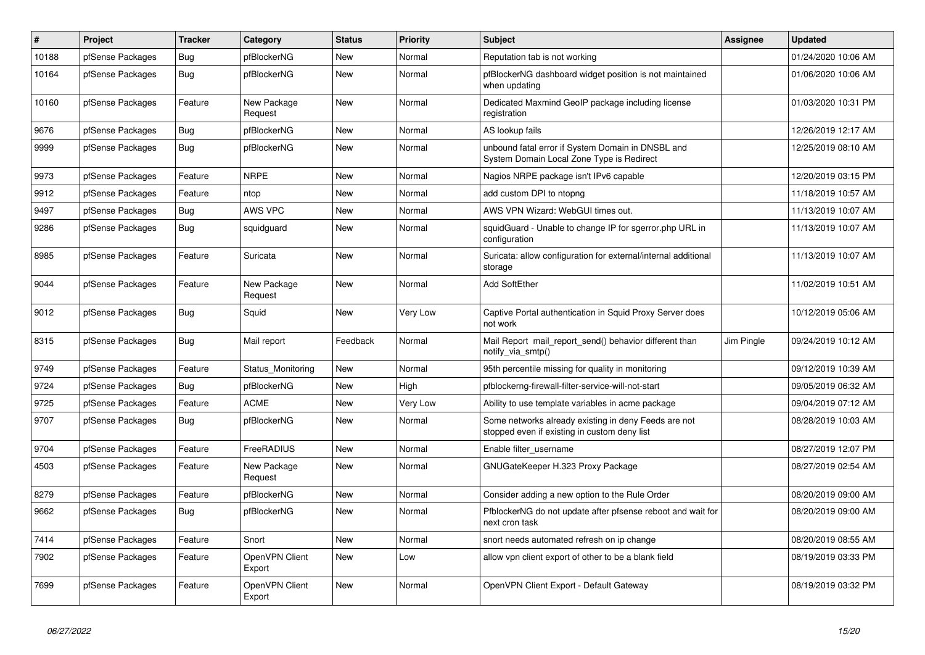| $\vert$ # | <b>Project</b>   | <b>Tracker</b> | Category                 | <b>Status</b> | Priority | <b>Subject</b>                                                                                       | <b>Assignee</b> | <b>Updated</b>      |
|-----------|------------------|----------------|--------------------------|---------------|----------|------------------------------------------------------------------------------------------------------|-----------------|---------------------|
| 10188     | pfSense Packages | Bug            | pfBlockerNG              | New           | Normal   | Reputation tab is not working                                                                        |                 | 01/24/2020 10:06 AM |
| 10164     | pfSense Packages | Bug            | pfBlockerNG              | New           | Normal   | pfBlockerNG dashboard widget position is not maintained<br>when updating                             |                 | 01/06/2020 10:06 AM |
| 10160     | pfSense Packages | Feature        | New Package<br>Request   | <b>New</b>    | Normal   | Dedicated Maxmind GeoIP package including license<br>registration                                    |                 | 01/03/2020 10:31 PM |
| 9676      | pfSense Packages | Bug            | pfBlockerNG              | <b>New</b>    | Normal   | AS lookup fails                                                                                      |                 | 12/26/2019 12:17 AM |
| 9999      | pfSense Packages | Bug            | pfBlockerNG              | <b>New</b>    | Normal   | unbound fatal error if System Domain in DNSBL and<br>System Domain Local Zone Type is Redirect       |                 | 12/25/2019 08:10 AM |
| 9973      | pfSense Packages | Feature        | <b>NRPE</b>              | <b>New</b>    | Normal   | Nagios NRPE package isn't IPv6 capable                                                               |                 | 12/20/2019 03:15 PM |
| 9912      | pfSense Packages | Feature        | ntop                     | <b>New</b>    | Normal   | add custom DPI to ntopng                                                                             |                 | 11/18/2019 10:57 AM |
| 9497      | pfSense Packages | <b>Bug</b>     | AWS VPC                  | <b>New</b>    | Normal   | AWS VPN Wizard: WebGUI times out.                                                                    |                 | 11/13/2019 10:07 AM |
| 9286      | pfSense Packages | <b>Bug</b>     | squidguard               | <b>New</b>    | Normal   | squidGuard - Unable to change IP for sgerror.php URL in<br>configuration                             |                 | 11/13/2019 10:07 AM |
| 8985      | pfSense Packages | Feature        | Suricata                 | <b>New</b>    | Normal   | Suricata: allow configuration for external/internal additional<br>storage                            |                 | 11/13/2019 10:07 AM |
| 9044      | pfSense Packages | Feature        | New Package<br>Request   | <b>New</b>    | Normal   | <b>Add SoftEther</b>                                                                                 |                 | 11/02/2019 10:51 AM |
| 9012      | pfSense Packages | <b>Bug</b>     | Squid                    | <b>New</b>    | Very Low | Captive Portal authentication in Squid Proxy Server does<br>not work                                 |                 | 10/12/2019 05:06 AM |
| 8315      | pfSense Packages | Bug            | Mail report              | Feedback      | Normal   | Mail Report mail report send() behavior different than<br>notify_via_smtp()                          | Jim Pingle      | 09/24/2019 10:12 AM |
| 9749      | pfSense Packages | Feature        | Status Monitoring        | New           | Normal   | 95th percentile missing for quality in monitoring                                                    |                 | 09/12/2019 10:39 AM |
| 9724      | pfSense Packages | <b>Bug</b>     | pfBlockerNG              | New           | High     | pfblockerng-firewall-filter-service-will-not-start                                                   |                 | 09/05/2019 06:32 AM |
| 9725      | pfSense Packages | Feature        | <b>ACME</b>              | <b>New</b>    | Very Low | Ability to use template variables in acme package                                                    |                 | 09/04/2019 07:12 AM |
| 9707      | pfSense Packages | Bug            | pfBlockerNG              | <b>New</b>    | Normal   | Some networks already existing in deny Feeds are not<br>stopped even if existing in custom deny list |                 | 08/28/2019 10:03 AM |
| 9704      | pfSense Packages | Feature        | FreeRADIUS               | <b>New</b>    | Normal   | Enable filter_username                                                                               |                 | 08/27/2019 12:07 PM |
| 4503      | pfSense Packages | Feature        | New Package<br>Request   | <b>New</b>    | Normal   | GNUGateKeeper H.323 Proxy Package                                                                    |                 | 08/27/2019 02:54 AM |
| 8279      | pfSense Packages | Feature        | pfBlockerNG              | <b>New</b>    | Normal   | Consider adding a new option to the Rule Order                                                       |                 | 08/20/2019 09:00 AM |
| 9662      | pfSense Packages | <b>Bug</b>     | pfBlockerNG              | <b>New</b>    | Normal   | PfblockerNG do not update after pfsense reboot and wait for<br>next cron task                        |                 | 08/20/2019 09:00 AM |
| 7414      | pfSense Packages | Feature        | Snort                    | New           | Normal   | snort needs automated refresh on ip change                                                           |                 | 08/20/2019 08:55 AM |
| 7902      | pfSense Packages | Feature        | OpenVPN Client<br>Export | New           | Low      | allow vpn client export of other to be a blank field                                                 |                 | 08/19/2019 03:33 PM |
| 7699      | pfSense Packages | Feature        | OpenVPN Client<br>Export | <b>New</b>    | Normal   | OpenVPN Client Export - Default Gateway                                                              |                 | 08/19/2019 03:32 PM |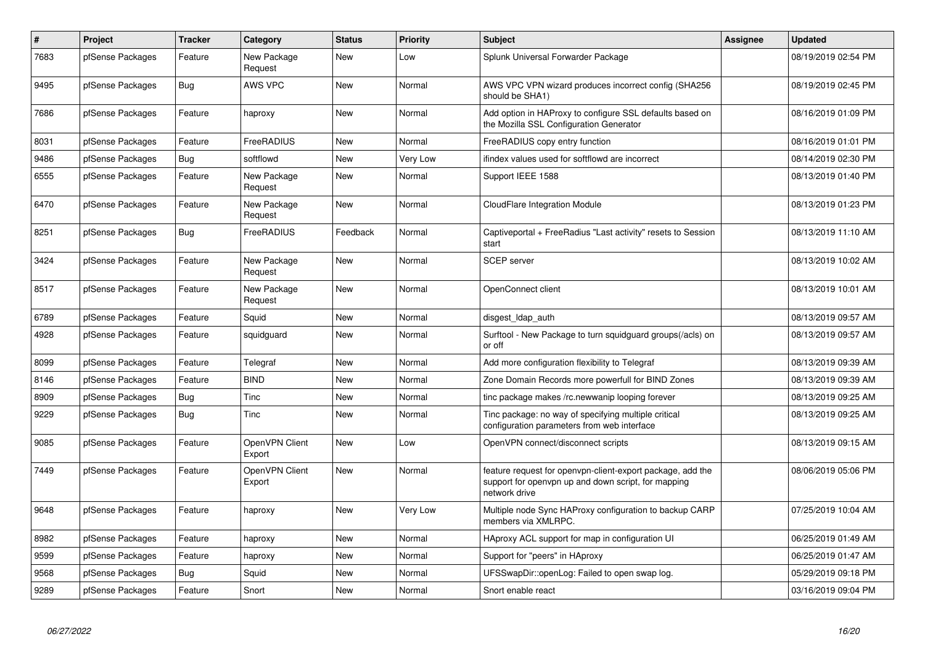| $\#$ | <b>Project</b>   | <b>Tracker</b> | Category                 | <b>Status</b> | <b>Priority</b> | <b>Subject</b>                                                                                                                     | <b>Assignee</b> | <b>Updated</b>      |
|------|------------------|----------------|--------------------------|---------------|-----------------|------------------------------------------------------------------------------------------------------------------------------------|-----------------|---------------------|
| 7683 | pfSense Packages | Feature        | New Package<br>Request   | <b>New</b>    | Low             | Splunk Universal Forwarder Package                                                                                                 |                 | 08/19/2019 02:54 PM |
| 9495 | pfSense Packages | <b>Bug</b>     | AWS VPC                  | <b>New</b>    | Normal          | AWS VPC VPN wizard produces incorrect config (SHA256)<br>should be SHA1)                                                           |                 | 08/19/2019 02:45 PM |
| 7686 | pfSense Packages | Feature        | haproxy                  | <b>New</b>    | Normal          | Add option in HAProxy to configure SSL defaults based on<br>the Mozilla SSL Configuration Generator                                |                 | 08/16/2019 01:09 PM |
| 8031 | pfSense Packages | Feature        | FreeRADIUS               | <b>New</b>    | Normal          | FreeRADIUS copy entry function                                                                                                     |                 | 08/16/2019 01:01 PM |
| 9486 | pfSense Packages | Bug            | softflowd                | New           | Very Low        | ifindex values used for softflowd are incorrect                                                                                    |                 | 08/14/2019 02:30 PM |
| 6555 | pfSense Packages | Feature        | New Package<br>Request   | New           | Normal          | Support IEEE 1588                                                                                                                  |                 | 08/13/2019 01:40 PM |
| 6470 | pfSense Packages | Feature        | New Package<br>Request   | <b>New</b>    | Normal          | CloudFlare Integration Module                                                                                                      |                 | 08/13/2019 01:23 PM |
| 8251 | pfSense Packages | Bug            | FreeRADIUS               | Feedback      | Normal          | Captiveportal + FreeRadius "Last activity" resets to Session<br>start                                                              |                 | 08/13/2019 11:10 AM |
| 3424 | pfSense Packages | Feature        | New Package<br>Request   | <b>New</b>    | Normal          | <b>SCEP</b> server                                                                                                                 |                 | 08/13/2019 10:02 AM |
| 8517 | pfSense Packages | Feature        | New Package<br>Request   | <b>New</b>    | Normal          | OpenConnect client                                                                                                                 |                 | 08/13/2019 10:01 AM |
| 6789 | pfSense Packages | Feature        | Squid                    | New           | Normal          | disgest Idap auth                                                                                                                  |                 | 08/13/2019 09:57 AM |
| 4928 | pfSense Packages | Feature        | squidguard               | <b>New</b>    | Normal          | Surftool - New Package to turn squidguard groups(/acls) on<br>or off                                                               |                 | 08/13/2019 09:57 AM |
| 8099 | pfSense Packages | Feature        | Telegraf                 | <b>New</b>    | Normal          | Add more configuration flexibility to Telegraf                                                                                     |                 | 08/13/2019 09:39 AM |
| 8146 | pfSense Packages | Feature        | <b>BIND</b>              | New           | Normal          | Zone Domain Records more powerfull for BIND Zones                                                                                  |                 | 08/13/2019 09:39 AM |
| 8909 | pfSense Packages | Bug            | Tinc                     | <b>New</b>    | Normal          | tinc package makes /rc.newwanip looping forever                                                                                    |                 | 08/13/2019 09:25 AM |
| 9229 | pfSense Packages | Bug            | Tinc                     | <b>New</b>    | Normal          | Tinc package: no way of specifying multiple critical<br>configuration parameters from web interface                                |                 | 08/13/2019 09:25 AM |
| 9085 | pfSense Packages | Feature        | OpenVPN Client<br>Export | New           | Low             | OpenVPN connect/disconnect scripts                                                                                                 |                 | 08/13/2019 09:15 AM |
| 7449 | pfSense Packages | Feature        | OpenVPN Client<br>Export | <b>New</b>    | Normal          | feature request for openvpn-client-export package, add the<br>support for openypn up and down script, for mapping<br>network drive |                 | 08/06/2019 05:06 PM |
| 9648 | pfSense Packages | Feature        | haproxy                  | <b>New</b>    | Very Low        | Multiple node Sync HAProxy configuration to backup CARP<br>members via XMLRPC.                                                     |                 | 07/25/2019 10:04 AM |
| 8982 | pfSense Packages | Feature        | haproxy                  | <b>New</b>    | Normal          | HAproxy ACL support for map in configuration UI                                                                                    |                 | 06/25/2019 01:49 AM |
| 9599 | pfSense Packages | Feature        | haproxy                  | New           | Normal          | Support for "peers" in HAproxy                                                                                                     |                 | 06/25/2019 01:47 AM |
| 9568 | pfSense Packages | <b>Bug</b>     | Squid                    | New           | Normal          | UFSSwapDir::openLog: Failed to open swap log.                                                                                      |                 | 05/29/2019 09:18 PM |
| 9289 | pfSense Packages | Feature        | Snort                    | New           | Normal          | Snort enable react                                                                                                                 |                 | 03/16/2019 09:04 PM |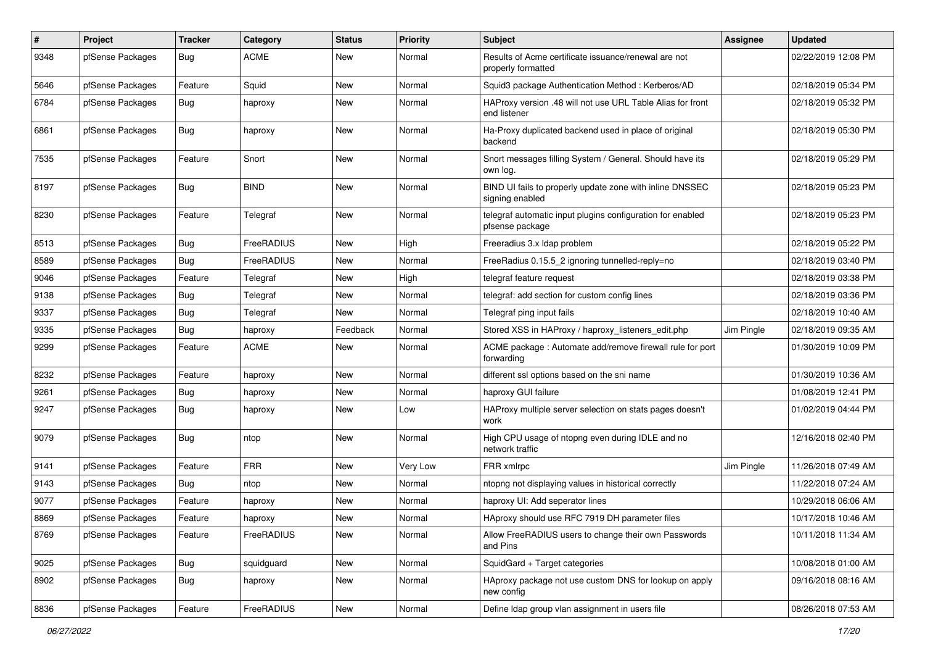| $\pmb{\#}$ | Project          | <b>Tracker</b> | Category    | <b>Status</b> | Priority | <b>Subject</b>                                                                | Assignee   | <b>Updated</b>      |
|------------|------------------|----------------|-------------|---------------|----------|-------------------------------------------------------------------------------|------------|---------------------|
| 9348       | pfSense Packages | Bug            | <b>ACME</b> | New           | Normal   | Results of Acme certificate issuance/renewal are not<br>properly formatted    |            | 02/22/2019 12:08 PM |
| 5646       | pfSense Packages | Feature        | Squid       | New           | Normal   | Squid3 package Authentication Method: Kerberos/AD                             |            | 02/18/2019 05:34 PM |
| 6784       | pfSense Packages | Bug            | haproxy     | New           | Normal   | HAProxy version .48 will not use URL Table Alias for front<br>end listener    |            | 02/18/2019 05:32 PM |
| 6861       | pfSense Packages | Bug            | haproxy     | New           | Normal   | Ha-Proxy duplicated backend used in place of original<br>backend              |            | 02/18/2019 05:30 PM |
| 7535       | pfSense Packages | Feature        | Snort       | New           | Normal   | Snort messages filling System / General. Should have its<br>own log.          |            | 02/18/2019 05:29 PM |
| 8197       | pfSense Packages | <b>Bug</b>     | <b>BIND</b> | New           | Normal   | BIND UI fails to properly update zone with inline DNSSEC<br>signing enabled   |            | 02/18/2019 05:23 PM |
| 8230       | pfSense Packages | Feature        | Telegraf    | New           | Normal   | telegraf automatic input plugins configuration for enabled<br>pfsense package |            | 02/18/2019 05:23 PM |
| 8513       | pfSense Packages | Bug            | FreeRADIUS  | New           | High     | Freeradius 3.x Idap problem                                                   |            | 02/18/2019 05:22 PM |
| 8589       | pfSense Packages | Bug            | FreeRADIUS  | New           | Normal   | FreeRadius 0.15.5_2 ignoring tunnelled-reply=no                               |            | 02/18/2019 03:40 PM |
| 9046       | pfSense Packages | Feature        | Telegraf    | New           | High     | telegraf feature request                                                      |            | 02/18/2019 03:38 PM |
| 9138       | pfSense Packages | Bug            | Telegraf    | New           | Normal   | telegraf: add section for custom config lines                                 |            | 02/18/2019 03:36 PM |
| 9337       | pfSense Packages | Bug            | Telegraf    | <b>New</b>    | Normal   | Telegraf ping input fails                                                     |            | 02/18/2019 10:40 AM |
| 9335       | pfSense Packages | Bug            | haproxy     | Feedback      | Normal   | Stored XSS in HAProxy / haproxy_listeners_edit.php                            | Jim Pingle | 02/18/2019 09:35 AM |
| 9299       | pfSense Packages | Feature        | <b>ACME</b> | New           | Normal   | ACME package : Automate add/remove firewall rule for port<br>forwarding       |            | 01/30/2019 10:09 PM |
| 8232       | pfSense Packages | Feature        | haproxy     | New           | Normal   | different ssl options based on the sni name                                   |            | 01/30/2019 10:36 AM |
| 9261       | pfSense Packages | Bug            | haproxy     | New           | Normal   | haproxy GUI failure                                                           |            | 01/08/2019 12:41 PM |
| 9247       | pfSense Packages | Bug            | haproxy     | New           | Low      | HAProxy multiple server selection on stats pages doesn't<br>work              |            | 01/02/2019 04:44 PM |
| 9079       | pfSense Packages | Bug            | ntop        | <b>New</b>    | Normal   | High CPU usage of ntopng even during IDLE and no<br>network traffic           |            | 12/16/2018 02:40 PM |
| 9141       | pfSense Packages | Feature        | <b>FRR</b>  | <b>New</b>    | Very Low | FRR xmlrpc                                                                    | Jim Pingle | 11/26/2018 07:49 AM |
| 9143       | pfSense Packages | Bug            | ntop        | New           | Normal   | ntopng not displaying values in historical correctly                          |            | 11/22/2018 07:24 AM |
| 9077       | pfSense Packages | Feature        | haproxy     | New           | Normal   | haproxy UI: Add seperator lines                                               |            | 10/29/2018 06:06 AM |
| 8869       | pfSense Packages | Feature        | haproxy     | New           | Normal   | HAproxy should use RFC 7919 DH parameter files                                |            | 10/17/2018 10:46 AM |
| 8769       | pfSense Packages | Feature        | FreeRADIUS  | New           | Normal   | Allow FreeRADIUS users to change their own Passwords<br>and Pins              |            | 10/11/2018 11:34 AM |
| 9025       | pfSense Packages | Bug            | squidguard  | New           | Normal   | SquidGard + Target categories                                                 |            | 10/08/2018 01:00 AM |
| 8902       | pfSense Packages | <b>Bug</b>     | haproxy     | New           | Normal   | HAproxy package not use custom DNS for lookup on apply<br>new config          |            | 09/16/2018 08:16 AM |
| 8836       | pfSense Packages | Feature        | FreeRADIUS  | New           | Normal   | Define Idap group vlan assignment in users file                               |            | 08/26/2018 07:53 AM |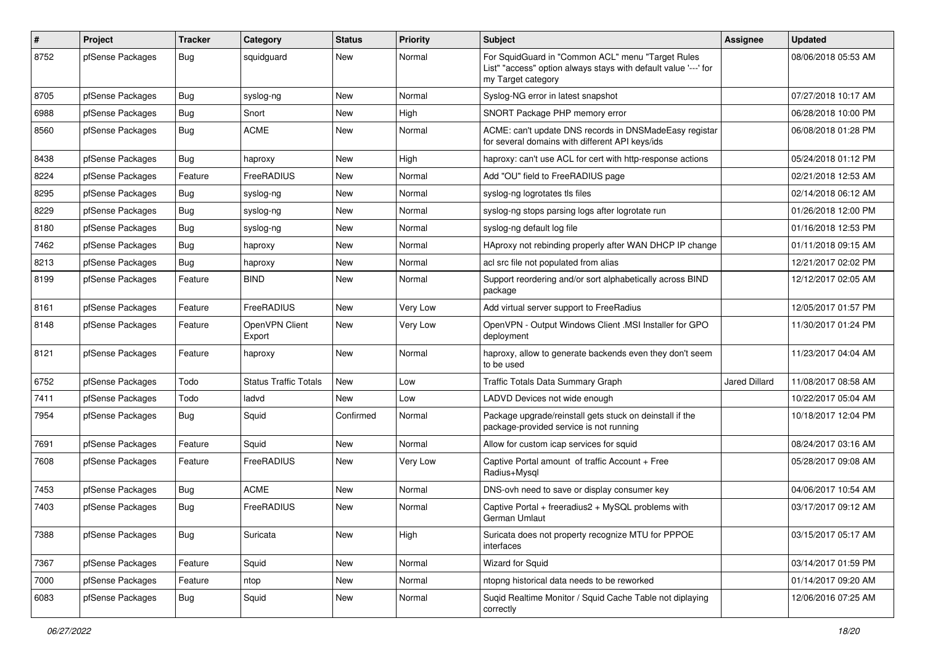| $\pmb{\#}$ | Project          | <b>Tracker</b> | Category                     | <b>Status</b> | <b>Priority</b> | <b>Subject</b>                                                                                                                             | <b>Assignee</b>      | <b>Updated</b>      |
|------------|------------------|----------------|------------------------------|---------------|-----------------|--------------------------------------------------------------------------------------------------------------------------------------------|----------------------|---------------------|
| 8752       | pfSense Packages | Bug            | squidguard                   | New           | Normal          | For SquidGuard in "Common ACL" menu "Target Rules<br>List" "access" option always stays with default value '---' for<br>my Target category |                      | 08/06/2018 05:53 AM |
| 8705       | pfSense Packages | Bug            | syslog-ng                    | <b>New</b>    | Normal          | Syslog-NG error in latest snapshot                                                                                                         |                      | 07/27/2018 10:17 AM |
| 6988       | pfSense Packages | Bug            | Snort                        | <b>New</b>    | High            | SNORT Package PHP memory error                                                                                                             |                      | 06/28/2018 10:00 PM |
| 8560       | pfSense Packages | Bug            | <b>ACME</b>                  | New           | Normal          | ACME: can't update DNS records in DNSMadeEasy registar<br>for several domains with different API keys/ids                                  |                      | 06/08/2018 01:28 PM |
| 8438       | pfSense Packages | Bug            | haproxy                      | <b>New</b>    | High            | haproxy: can't use ACL for cert with http-response actions                                                                                 |                      | 05/24/2018 01:12 PM |
| 8224       | pfSense Packages | Feature        | FreeRADIUS                   | New           | Normal          | Add "OU" field to FreeRADIUS page                                                                                                          |                      | 02/21/2018 12:53 AM |
| 8295       | pfSense Packages | Bug            | syslog-ng                    | <b>New</b>    | Normal          | syslog-ng logrotates tls files                                                                                                             |                      | 02/14/2018 06:12 AM |
| 8229       | pfSense Packages | <b>Bug</b>     | syslog-ng                    | New           | Normal          | syslog-ng stops parsing logs after logrotate run                                                                                           |                      | 01/26/2018 12:00 PM |
| 8180       | pfSense Packages | Bug            | syslog-ng                    | New           | Normal          | syslog-ng default log file                                                                                                                 |                      | 01/16/2018 12:53 PM |
| 7462       | pfSense Packages | Bug            | haproxy                      | <b>New</b>    | Normal          | HAproxy not rebinding properly after WAN DHCP IP change                                                                                    |                      | 01/11/2018 09:15 AM |
| 8213       | pfSense Packages | Bug            | haproxy                      | New           | Normal          | acl src file not populated from alias                                                                                                      |                      | 12/21/2017 02:02 PM |
| 8199       | pfSense Packages | Feature        | <b>BIND</b>                  | New           | Normal          | Support reordering and/or sort alphabetically across BIND<br>package                                                                       |                      | 12/12/2017 02:05 AM |
| 8161       | pfSense Packages | Feature        | FreeRADIUS                   | New           | Very Low        | Add virtual server support to FreeRadius                                                                                                   |                      | 12/05/2017 01:57 PM |
| 8148       | pfSense Packages | Feature        | OpenVPN Client<br>Export     | <b>New</b>    | Very Low        | OpenVPN - Output Windows Client .MSI Installer for GPO<br>deployment                                                                       |                      | 11/30/2017 01:24 PM |
| 8121       | pfSense Packages | Feature        | haproxy                      | <b>New</b>    | Normal          | haproxy, allow to generate backends even they don't seem<br>to be used                                                                     |                      | 11/23/2017 04:04 AM |
| 6752       | pfSense Packages | Todo           | <b>Status Traffic Totals</b> | <b>New</b>    | Low             | Traffic Totals Data Summary Graph                                                                                                          | <b>Jared Dillard</b> | 11/08/2017 08:58 AM |
| 7411       | pfSense Packages | Todo           | ladvd                        | New           | Low             | LADVD Devices not wide enough                                                                                                              |                      | 10/22/2017 05:04 AM |
| 7954       | pfSense Packages | Bug            | Squid                        | Confirmed     | Normal          | Package upgrade/reinstall gets stuck on deinstall if the<br>package-provided service is not running                                        |                      | 10/18/2017 12:04 PM |
| 7691       | pfSense Packages | Feature        | Squid                        | <b>New</b>    | Normal          | Allow for custom icap services for squid                                                                                                   |                      | 08/24/2017 03:16 AM |
| 7608       | pfSense Packages | Feature        | FreeRADIUS                   | New           | Very Low        | Captive Portal amount of traffic Account + Free<br>Radius+Mysql                                                                            |                      | 05/28/2017 09:08 AM |
| 7453       | pfSense Packages | <b>Bug</b>     | <b>ACME</b>                  | <b>New</b>    | Normal          | DNS-ovh need to save or display consumer key                                                                                               |                      | 04/06/2017 10:54 AM |
| 7403       | pfSense Packages | Bug            | FreeRADIUS                   | New           | Normal          | Captive Portal + freeradius2 + MySQL problems with<br><b>German Umlaut</b>                                                                 |                      | 03/17/2017 09:12 AM |
| 7388       | pfSense Packages | <b>Bug</b>     | Suricata                     | New           | High            | Suricata does not property recognize MTU for PPPOE<br>interfaces                                                                           |                      | 03/15/2017 05:17 AM |
| 7367       | pfSense Packages | Feature        | Squid                        | New           | Normal          | Wizard for Squid                                                                                                                           |                      | 03/14/2017 01:59 PM |
| 7000       | pfSense Packages | Feature        | ntop                         | New           | Normal          | ntopng historical data needs to be reworked                                                                                                |                      | 01/14/2017 09:20 AM |
| 6083       | pfSense Packages | Bug            | Squid                        | New           | Normal          | Suqid Realtime Monitor / Squid Cache Table not diplaying<br>correctly                                                                      |                      | 12/06/2016 07:25 AM |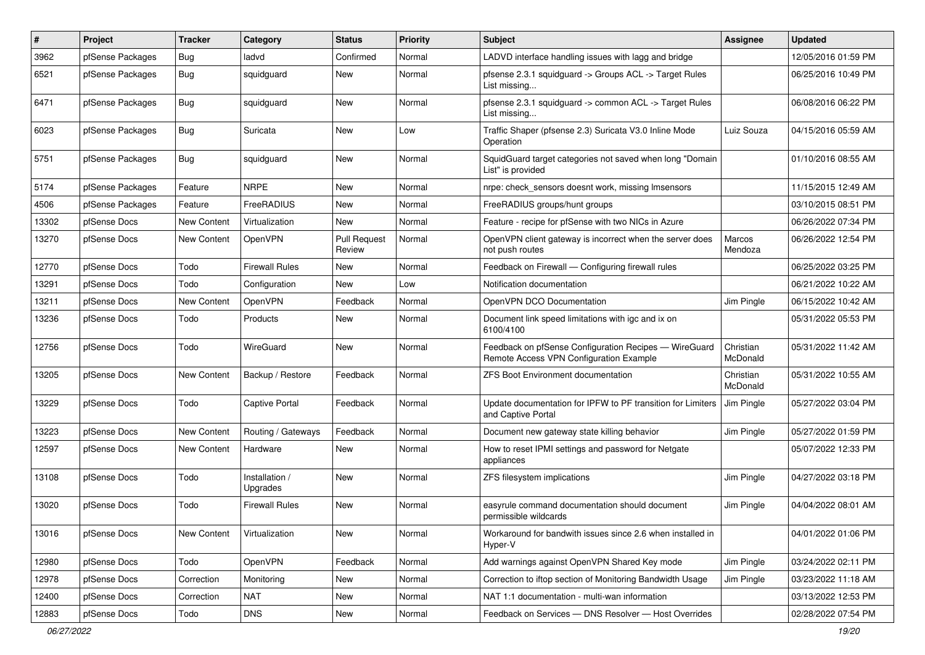| $\sharp$ | Project          | <b>Tracker</b>     | Category                   | <b>Status</b>                 | <b>Priority</b> | Subject                                                                                          | <b>Assignee</b>       | <b>Updated</b>      |
|----------|------------------|--------------------|----------------------------|-------------------------------|-----------------|--------------------------------------------------------------------------------------------------|-----------------------|---------------------|
| 3962     | pfSense Packages | Bug                | ladvd                      | Confirmed                     | Normal          | LADVD interface handling issues with lagg and bridge                                             |                       | 12/05/2016 01:59 PM |
| 6521     | pfSense Packages | Bug                | squidguard                 | New                           | Normal          | pfsense 2.3.1 squidguard -> Groups ACL -> Target Rules<br>List missing                           |                       | 06/25/2016 10:49 PM |
| 6471     | pfSense Packages | Bug                | squidguard                 | <b>New</b>                    | Normal          | pfsense 2.3.1 squidguard -> common ACL -> Target Rules<br>List missing                           |                       | 06/08/2016 06:22 PM |
| 6023     | pfSense Packages | Bug                | Suricata                   | <b>New</b>                    | Low             | Traffic Shaper (pfsense 2.3) Suricata V3.0 Inline Mode<br>Operation                              | Luiz Souza            | 04/15/2016 05:59 AM |
| 5751     | pfSense Packages | Bug                | squidguard                 | <b>New</b>                    | Normal          | SquidGuard target categories not saved when long "Domain<br>List" is provided                    |                       | 01/10/2016 08:55 AM |
| 5174     | pfSense Packages | Feature            | <b>NRPE</b>                | New                           | Normal          | nrpe: check sensors doesnt work, missing Imsensors                                               |                       | 11/15/2015 12:49 AM |
| 4506     | pfSense Packages | Feature            | FreeRADIUS                 | <b>New</b>                    | Normal          | FreeRADIUS groups/hunt groups                                                                    |                       | 03/10/2015 08:51 PM |
| 13302    | pfSense Docs     | New Content        | Virtualization             | New                           | Normal          | Feature - recipe for pfSense with two NICs in Azure                                              |                       | 06/26/2022 07:34 PM |
| 13270    | pfSense Docs     | New Content        | OpenVPN                    | <b>Pull Request</b><br>Review | Normal          | OpenVPN client gateway is incorrect when the server does<br>not push routes                      | Marcos<br>Mendoza     | 06/26/2022 12:54 PM |
| 12770    | pfSense Docs     | Todo               | <b>Firewall Rules</b>      | <b>New</b>                    | Normal          | Feedback on Firewall - Configuring firewall rules                                                |                       | 06/25/2022 03:25 PM |
| 13291    | pfSense Docs     | Todo               | Configuration              | <b>New</b>                    | Low             | Notification documentation                                                                       |                       | 06/21/2022 10:22 AM |
| 13211    | pfSense Docs     | <b>New Content</b> | OpenVPN                    | Feedback                      | Normal          | OpenVPN DCO Documentation                                                                        | Jim Pingle            | 06/15/2022 10:42 AM |
| 13236    | pfSense Docs     | Todo               | Products                   | New                           | Normal          | Document link speed limitations with igc and ix on<br>6100/4100                                  |                       | 05/31/2022 05:53 PM |
| 12756    | pfSense Docs     | Todo               | WireGuard                  | <b>New</b>                    | Normal          | Feedback on pfSense Configuration Recipes - WireGuard<br>Remote Access VPN Configuration Example | Christian<br>McDonald | 05/31/2022 11:42 AM |
| 13205    | pfSense Docs     | New Content        | Backup / Restore           | Feedback                      | Normal          | <b>ZFS Boot Environment documentation</b>                                                        | Christian<br>McDonald | 05/31/2022 10:55 AM |
| 13229    | pfSense Docs     | Todo               | <b>Captive Portal</b>      | Feedback                      | Normal          | Update documentation for IPFW to PF transition for Limiters<br>and Captive Portal                | Jim Pingle            | 05/27/2022 03:04 PM |
| 13223    | pfSense Docs     | <b>New Content</b> | Routing / Gateways         | Feedback                      | Normal          | Document new gateway state killing behavior                                                      | Jim Pingle            | 05/27/2022 01:59 PM |
| 12597    | pfSense Docs     | <b>New Content</b> | Hardware                   | <b>New</b>                    | Normal          | How to reset IPMI settings and password for Netgate<br>appliances                                |                       | 05/07/2022 12:33 PM |
| 13108    | pfSense Docs     | Todo               | Installation /<br>Upgrades | New                           | Normal          | ZFS filesystem implications                                                                      | Jim Pingle            | 04/27/2022 03:18 PM |
| 13020    | pfSense Docs     | Todo               | <b>Firewall Rules</b>      | New                           | Normal          | easyrule command documentation should document<br>permissible wildcards                          | Jim Pingle            | 04/04/2022 08:01 AM |
| 13016    | pfSense Docs     | New Content        | Virtualization             | New                           | Normal          | Workaround for bandwith issues since 2.6 when installed in<br>Hyper-V                            |                       | 04/01/2022 01:06 PM |
| 12980    | pfSense Docs     | Todo               | OpenVPN                    | Feedback                      | Normal          | Add warnings against OpenVPN Shared Key mode                                                     | Jim Pingle            | 03/24/2022 02:11 PM |
| 12978    | pfSense Docs     | Correction         | Monitoring                 | New                           | Normal          | Correction to iftop section of Monitoring Bandwidth Usage                                        | Jim Pingle            | 03/23/2022 11:18 AM |
| 12400    | pfSense Docs     | Correction         | <b>NAT</b>                 | New                           | Normal          | NAT 1:1 documentation - multi-wan information                                                    |                       | 03/13/2022 12:53 PM |
| 12883    | pfSense Docs     | Todo               | DNS                        | New                           | Normal          | Feedback on Services - DNS Resolver - Host Overrides                                             |                       | 02/28/2022 07:54 PM |